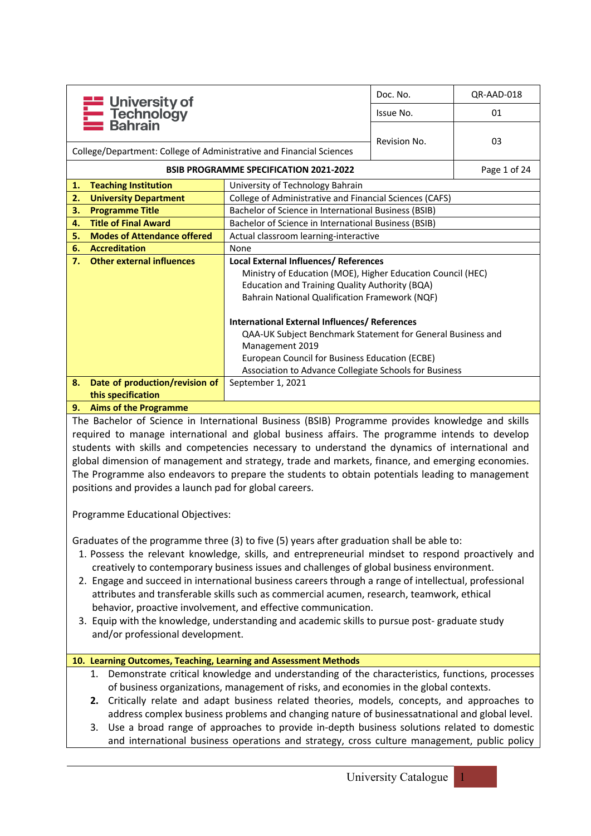|    |                                                                      |                                                             | Doc. No.     | QR-AAD-018   |  |  |  |
|----|----------------------------------------------------------------------|-------------------------------------------------------------|--------------|--------------|--|--|--|
|    | <b>Example: University of<br/>Technology<br/>Bahrain</b>             |                                                             | Issue No.    | 01           |  |  |  |
|    |                                                                      |                                                             |              |              |  |  |  |
|    | College/Department: College of Administrative and Financial Sciences |                                                             | Revision No. | 03           |  |  |  |
|    |                                                                      | <b>BSIB PROGRAMME SPECIFICATION 2021-2022</b>               |              | Page 1 of 24 |  |  |  |
| 1. | <b>Teaching Institution</b>                                          | University of Technology Bahrain                            |              |              |  |  |  |
| 2. | <b>University Department</b>                                         | College of Administrative and Financial Sciences (CAFS)     |              |              |  |  |  |
| 3. | <b>Programme Title</b>                                               | Bachelor of Science in International Business (BSIB)        |              |              |  |  |  |
| 4. | <b>Title of Final Award</b>                                          | Bachelor of Science in International Business (BSIB)        |              |              |  |  |  |
| 5. | <b>Modes of Attendance offered</b>                                   | Actual classroom learning-interactive                       |              |              |  |  |  |
| 6. | <b>Accreditation</b>                                                 | None                                                        |              |              |  |  |  |
| 7. | <b>Other external influences</b>                                     | Local External Influences/ References                       |              |              |  |  |  |
|    |                                                                      | Ministry of Education (MOE), Higher Education Council (HEC) |              |              |  |  |  |
|    |                                                                      | <b>Education and Training Quality Authority (BQA)</b>       |              |              |  |  |  |
|    |                                                                      | Bahrain National Qualification Framework (NQF)              |              |              |  |  |  |
|    |                                                                      | <b>International External Influences/ References</b>        |              |              |  |  |  |
|    |                                                                      | QAA-UK Subject Benchmark Statement for General Business and |              |              |  |  |  |
|    |                                                                      | Management 2019                                             |              |              |  |  |  |
|    | European Council for Business Education (ECBE)                       |                                                             |              |              |  |  |  |
|    |                                                                      | Association to Advance Collegiate Schools for Business      |              |              |  |  |  |
| 8. | Date of production/revision of                                       | September 1, 2021                                           |              |              |  |  |  |
|    | this specification                                                   |                                                             |              |              |  |  |  |
|    | $A$ for a set of the set $B$                                         |                                                             |              |              |  |  |  |

### **9. Aims of the Programme**

The Bachelor of Science in International Business (BSIB) Programme provides knowledge and skills required to manage international and global business affairs. The programme intends to develop students with skills and competencies necessary to understand the dynamics of international and global dimension of management and strategy, trade and markets, finance, and emerging economies. The Programme also endeavors to prepare the students to obtain potentials leading to management positions and provides a launch pad for global careers.

Programme Educational Objectives:

Graduates of the programme three (3) to five (5) years after graduation shall be able to:

- 1. Possess the relevant knowledge, skills, and entrepreneurial mindset to respond proactively and creatively to contemporary business issues and challenges of global business environment.
- 2. Engage and succeed in international business careers through a range of intellectual, professional attributes and transferable skills such as commercial acumen, research, teamwork, ethical behavior, proactive involvement, and effective communication.
- 3. Equip with the knowledge, understanding and academic skills to pursue post- graduate study and/or professional development.

|  | 10. Learning Outcomes, Teaching, Learning and Assessment Methods                                 |
|--|--------------------------------------------------------------------------------------------------|
|  | 1. Demonstrate critical knowledge and understanding of the characteristics, functions, processes |
|  | of business organizations, management of risks, and economies in the global contexts.            |

- **2.** Critically relate and adapt business related theories, models, concepts, and approaches to address complex business problems and changing nature of businessatnational and global level.
- 3. Use a broad range of approaches to provide in-depth business solutions related to domestic and international business operations and strategy, cross culture management, public policy

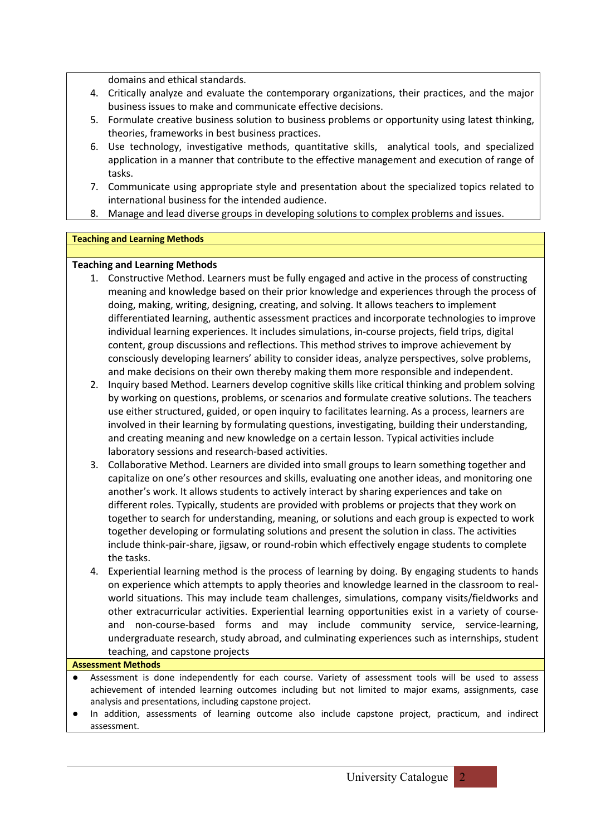domains and ethical standards.

- 4. Critically analyze and evaluate the contemporary organizations, their practices, and the major business issues to make and communicate effective decisions.
- 5. Formulate creative business solution to business problems or opportunity using latest thinking, theories, frameworks in best business practices.
- 6. Use technology, investigative methods, quantitative skills, analytical tools, and specialized application in a manner that contribute to the effective management and execution of range of tasks.
- 7. Communicate using appropriate style and presentation about the specialized topics related to international business for the intended audience.
- 8. Manage and lead diverse groups in developing solutions to complex problems and issues.

### **Teaching and Learning Methods**

# **Teaching and Learning Methods**

- 1. Constructive Method. Learners must be fully engaged and active in the process of constructing meaning and knowledge based on their prior knowledge and experiences through the process of doing, making, writing, designing, creating, and solving. It allows teachers to implement differentiated learning, authentic assessment practices and incorporate technologies to improve individual learning experiences. It includes simulations, in-course projects, field trips, digital content, group discussions and reflections. This method strives to improve achievement by consciously developing learners' ability to consider ideas, analyze perspectives, solve problems, and make decisions on their own thereby making them more responsible and independent.
- 2. Inquiry based Method. Learners develop cognitive skills like critical thinking and problem solving by working on questions, problems, or scenarios and formulate creative solutions. The teachers use either structured, guided, or open inquiry to facilitates learning. As a process, learners are involved in their learning by formulating questions, investigating, building their understanding, and creating meaning and new knowledge on a certain lesson. Typical activities include laboratory sessions and research-based activities.
- 3. Collaborative Method. Learners are divided into small groups to learn something together and capitalize on one's other resources and skills, evaluating one another ideas, and monitoring one another's work. It allows students to actively interact by sharing experiences and take on different roles. Typically, students are provided with problems or projects that they work on together to search for understanding, meaning, or solutions and each group is expected to work together developing or formulating solutions and present the solution in class. The activities include think-pair-share, jigsaw, or round-robin which effectively engage students to complete the tasks.
- 4. Experiential learning method is the process of learning by doing. By engaging students to hands on experience which attempts to apply theories and knowledge learned in the classroom to realworld situations. This may include team challenges, simulations, company visits/fieldworks and other extracurricular activities. Experiential learning opportunities exist in a variety of courseand non-course-based forms and may include community service, service-learning, undergraduate research, study abroad, and culminating experiences such as internships, student teaching, and capstone projects

### **Assessment Methods**

- Assessment is done independently for each course. Variety of assessment tools will be used to assess achievement of intended learning outcomes including but not limited to major exams, assignments, case analysis and presentations, including capstone project.
- In addition, assessments of learning outcome also include capstone project, practicum, and indirect assessment.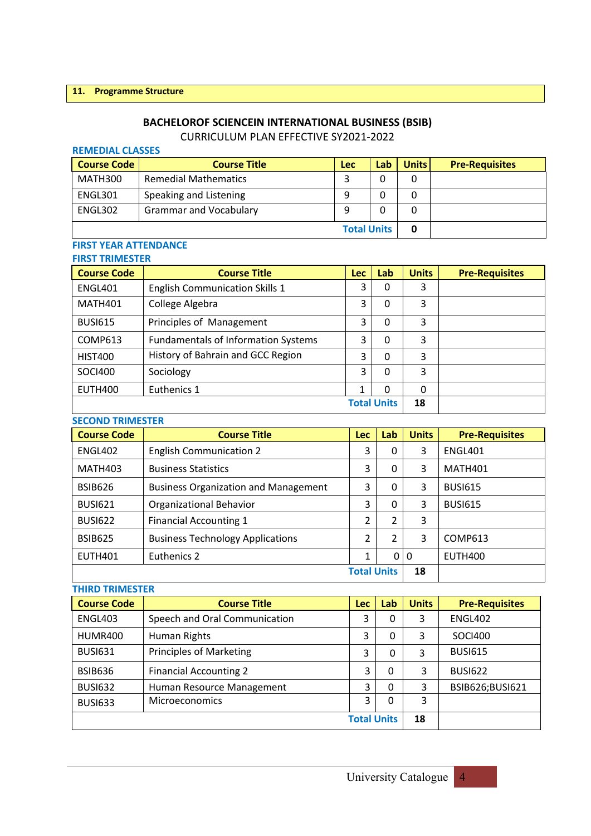### **BACHELOROF SCIENCEIN INTERNATIONAL BUSINESS (BSIB)**

# CURRICULUM PLAN EFFECTIVE SY2021-2022

### **REMEDIAL CLASSES**

| <b>Course Code</b> | <b>Course Title</b>           | Lec | Lab | <b>Units</b> | <b>Pre-Requisites</b> |
|--------------------|-------------------------------|-----|-----|--------------|-----------------------|
| MATH300            | <b>Remedial Mathematics</b>   |     |     |              |                       |
| ENGL301            | Speaking and Listening        |     |     |              |                       |
| ENGL302            | <b>Grammar and Vocabulary</b> |     |     |              |                       |
| <b>Total Units</b> |                               |     |     |              |                       |

#### **FIRST YEAR ATTENDANCE FIRST TRIMESTER**

| FIRST TRIMESTER    |                                            |            |          |              |                       |  |  |
|--------------------|--------------------------------------------|------------|----------|--------------|-----------------------|--|--|
| <b>Course Code</b> | <b>Course Title</b>                        | <b>Lec</b> | Lab      | <b>Units</b> | <b>Pre-Requisites</b> |  |  |
| <b>ENGL401</b>     | <b>English Communication Skills 1</b>      | 3          | 0        | 3            |                       |  |  |
| <b>MATH401</b>     | College Algebra                            | 3          | 0        | 3            |                       |  |  |
| <b>BUSI615</b>     | Principles of Management                   | 3          | 0        | 3            |                       |  |  |
| COMP613            | <b>Fundamentals of Information Systems</b> | 3          | 0        | 3            |                       |  |  |
| <b>HIST400</b>     | History of Bahrain and GCC Region          | 3          | 0        | 3            |                       |  |  |
| <b>SOCI400</b>     | Sociology                                  | 3          | $\Omega$ | 3            |                       |  |  |
| EUTH400            | Euthenics 1                                |            | 0        | 0            |                       |  |  |
|                    |                                            | 18         |          |              |                       |  |  |

### **SECOND TRIMESTER**

| <b>Course Code</b> | <b>Course Title</b>                         | <b>Lec</b>     | Lab | <b>Units</b> | <b>Pre-Requisites</b> |
|--------------------|---------------------------------------------|----------------|-----|--------------|-----------------------|
| <b>ENGL402</b>     | <b>English Communication 2</b>              | 3              | 0   | 3            | ENGL401               |
| MATH403            | <b>Business Statistics</b>                  | 3              | 0   | 3            | <b>MATH401</b>        |
| <b>BSIB626</b>     | <b>Business Organization and Management</b> | 3              | 0   | 3            | <b>BUSI615</b>        |
| <b>BUSI621</b>     | <b>Organizational Behavior</b>              | 3              | 0   | 3            | <b>BUSI615</b>        |
| <b>BUSI622</b>     | <b>Financial Accounting 1</b>               | 2              | 2   | 3            |                       |
| <b>BSIB625</b>     | <b>Business Technology Applications</b>     | $\mathfrak{p}$ | 2   | 3            | COMP613               |
| <b>EUTH401</b>     | Euthenics 2                                 | 1              | 0   | $\mathbf{0}$ | <b>EUTH400</b>        |
| <b>Total Units</b> |                                             |                |     |              |                       |

# **THIRD TRIMESTER Course Code Course Title Lec Lab Units Pre-Requisites** ENGL403 Speech and Oral Communication 3 0 3 ENGL402 HUMR400 | Human Rights 3 | 3 | 0 | 3 | SOCI400 BUSI631 Principles of Marketing 3 0 3 BUSI615 BSIB636 Financial Accounting 2 3 0 3 BUSI622 BUSI632 Human Resource Management 3 0 3 BSIB626;BUSI621 BUSI633 Microeconomics | 3 0 3 **Total Units 18**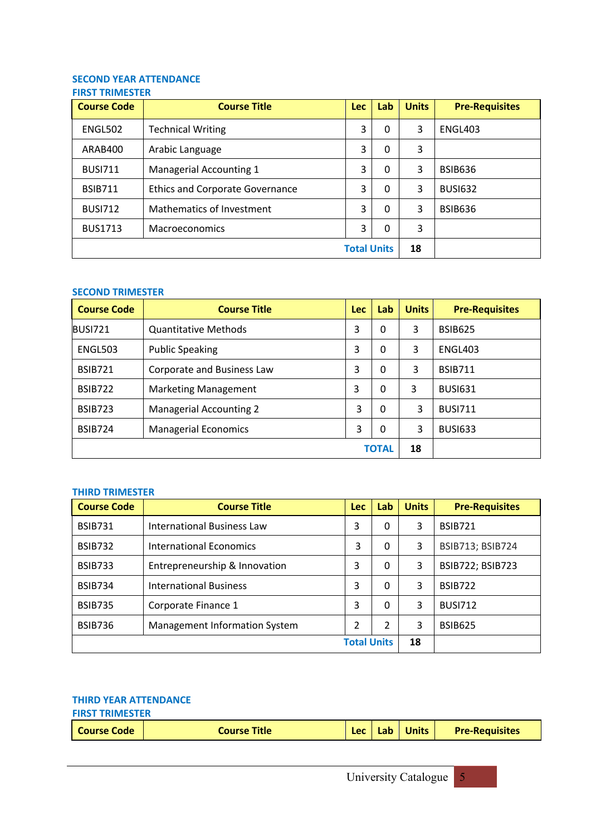### **SECOND YEAR ATTENDANCE FIRST TRIMESTER**

| <b>Course Code</b> | <b>Course Title</b>                    | <b>Lec</b> | Lab | <b>Units</b> | <b>Pre-Requisites</b> |
|--------------------|----------------------------------------|------------|-----|--------------|-----------------------|
| ENGL502            | <b>Technical Writing</b>               | 3          | 0   | 3            | ENGL403               |
| ARAB400            | Arabic Language                        | 3          | 0   | 3            |                       |
| <b>BUSI711</b>     | Managerial Accounting 1                | 3          | 0   | 3            | <b>BSIB636</b>        |
| <b>BSIB711</b>     | <b>Ethics and Corporate Governance</b> | 3          | 0   | 3            | <b>BUSI632</b>        |
| <b>BUSI712</b>     | Mathematics of Investment              | 3          | 0   | 3            | <b>BSIB636</b>        |
| <b>BUS1713</b>     | Macroeconomics                         | 3          | 0   | 3            |                       |
| <b>Total Units</b> |                                        |            |     |              |                       |

### **SECOND TRIMESTER**

| <b>Course Code</b> | <b>Course Title</b>            | Lec | Lab | <b>Units</b> | <b>Pre-Requisites</b> |
|--------------------|--------------------------------|-----|-----|--------------|-----------------------|
| BUSI721            | <b>Quantitative Methods</b>    | 3   | 0   | 3            | <b>BSIB625</b>        |
| ENGL503            | <b>Public Speaking</b>         | 3   | 0   | 3            | ENGL403               |
| <b>BSIB721</b>     | Corporate and Business Law     | 3   | 0   | 3            | <b>BSIB711</b>        |
| <b>BSIB722</b>     | <b>Marketing Management</b>    | 3   | 0   | 3            | <b>BUSI631</b>        |
| <b>BSIB723</b>     | <b>Managerial Accounting 2</b> | 3   | 0   | 3            | <b>BUSI711</b>        |
| <b>BSIB724</b>     | <b>Managerial Economics</b>    | 3   | 0   | 3            | <b>BUSI633</b>        |
| <b>TOTAL</b>       |                                |     |     |              |                       |

### **THIRD TRIMESTER**

| <b>Course Code</b> | <b>Course Title</b>            | <b>Lec</b> | Lab          | <b>Units</b> | <b>Pre-Requisites</b>   |
|--------------------|--------------------------------|------------|--------------|--------------|-------------------------|
| <b>BSIB731</b>     | International Business Law     | 3          | 0            | 3            | <b>BSIB721</b>          |
| <b>BSIB732</b>     | <b>International Economics</b> | 3          | 0            | 3            | <b>BSIB713; BSIB724</b> |
| <b>BSIB733</b>     | Entrepreneurship & Innovation  | 3          | $\mathbf{0}$ | 3            | <b>BSIB722; BSIB723</b> |
| <b>BSIB734</b>     | <b>International Business</b>  | 3          | 0            | 3            | <b>BSIB722</b>          |
| <b>BSIB735</b>     | Corporate Finance 1            | 3          | $\Omega$     | 3            | <b>BUSI712</b>          |
| <b>BSIB736</b>     | Management Information System  | 2          | 2            | 3            | <b>BSIB625</b>          |
|                    | <b>Total Units</b>             | 18         |              |              |                         |

#### **THIRD YEAR ATTENDANCE FIRST TRIMESTER**

| THUS FINITULES LETT |              |             |     |              |                       |  |
|---------------------|--------------|-------------|-----|--------------|-----------------------|--|
| <b>Course Code</b>  | Course Title | l oc<br>Let | Lab | <b>Units</b> | <b>Pre-Requisites</b> |  |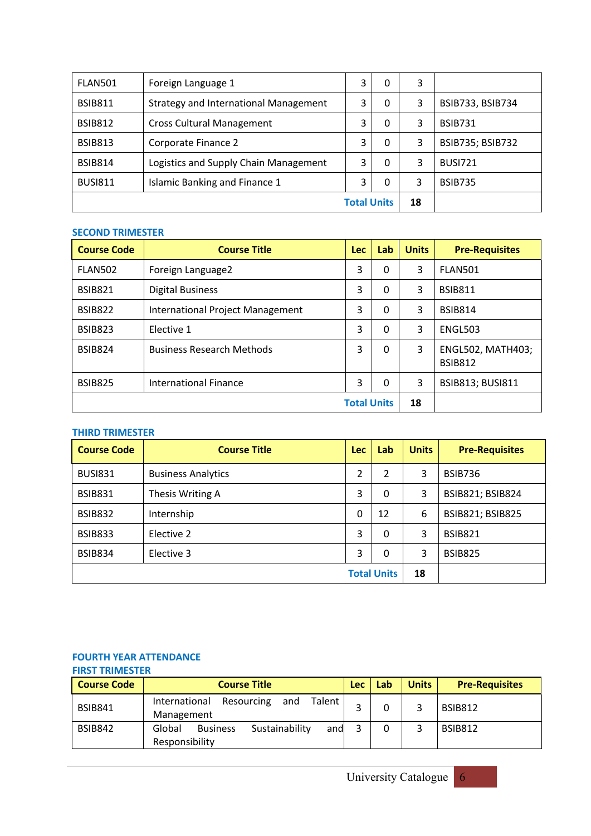| FLAN501        | Foreign Language 1                           | 3 | 0  | 3 |                         |
|----------------|----------------------------------------------|---|----|---|-------------------------|
| <b>BSIB811</b> | <b>Strategy and International Management</b> | 3 | 0  | 3 | BSIB733, BSIB734        |
| <b>BSIB812</b> | <b>Cross Cultural Management</b>             | 3 | 0  | 3 | <b>BSIB731</b>          |
| <b>BSIB813</b> | Corporate Finance 2                          | 3 | 0  | 3 | <b>BSIB735; BSIB732</b> |
| <b>BSIB814</b> | Logistics and Supply Chain Management        | 3 | 0  | 3 | <b>BUSI721</b>          |
| <b>BUSI811</b> | <b>Islamic Banking and Finance 1</b>         | 3 | 0  | 3 | <b>BSIB735</b>          |
|                | <b>Total Units</b>                           |   | 18 |   |                         |

### **SECOND TRIMESTER**

| <b>Course Code</b> | <b>Course Title</b>                     | Lec | Lab      | <b>Units</b> | <b>Pre-Requisites</b>                      |
|--------------------|-----------------------------------------|-----|----------|--------------|--------------------------------------------|
| <b>FLAN502</b>     | Foreign Language2                       | 3   | 0        | 3            | FLAN501                                    |
| <b>BSIB821</b>     | <b>Digital Business</b>                 | 3   | 0        | 3            | <b>BSIB811</b>                             |
| <b>BSIB822</b>     | <b>International Project Management</b> | 3   | 0        | 3            | <b>BSIB814</b>                             |
| <b>BSIB823</b>     | Elective 1                              | 3   | $\Omega$ | 3            | ENGL503                                    |
| <b>BSIB824</b>     | <b>Business Research Methods</b>        | 3   | $\Omega$ | 3            | <b>ENGL502, MATH403;</b><br><b>BSIB812</b> |
| <b>BSIB825</b>     | <b>International Finance</b>            | 3   | 0        | 3            | <b>BSIB813; BUSI811</b>                    |
| <b>Total Units</b> |                                         |     |          |              |                                            |

### **THIRD TRIMESTER**

| <b>Course Code</b> | <b>Course Title</b>       | <b>Lec</b>   | Lab | <b>Units</b> | <b>Pre-Requisites</b>   |
|--------------------|---------------------------|--------------|-----|--------------|-------------------------|
| <b>BUSI831</b>     | <b>Business Analytics</b> | 2            | 2   | 3            | BSIB736                 |
| <b>BSIB831</b>     | Thesis Writing A          | 3            | 0   | 3            | BSIB821; BSIB824        |
| <b>BSIB832</b>     | Internship                | $\mathbf{0}$ | 12  | 6            | <b>BSIB821; BSIB825</b> |
| <b>BSIB833</b>     | Elective 2                | 3            | 0   | 3            | <b>BSIB821</b>          |
| <b>BSIB834</b>     | Elective 3                | 3            | 0   | 3            | <b>BSIB825</b>          |
| <b>Total Units</b> |                           |              |     |              |                         |

#### **FOURTH YEAR ATTENDANCE FIRST TRIMESTER**

| FINJI INIMILJILN   |                                                                      |            |     |              |                       |
|--------------------|----------------------------------------------------------------------|------------|-----|--------------|-----------------------|
| <b>Course Code</b> | <b>Course Title</b>                                                  | <b>Lec</b> | Lab | <b>Units</b> | <b>Pre-Requisites</b> |
| <b>BSIB841</b>     | Talent<br>International<br>Resourcing<br>and<br>Management           |            | 0   |              | <b>BSIB812</b>        |
| <b>BSIB842</b>     | Sustainability<br>Global<br><b>Business</b><br>and<br>Responsibility |            | 0   |              | <b>BSIB812</b>        |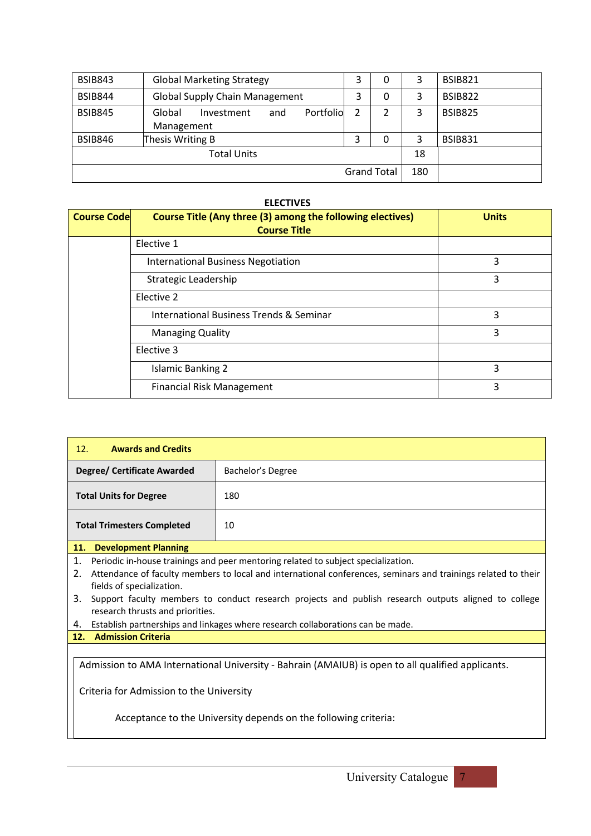| <b>BSIB843</b> | <b>Global Marketing Strategy</b>                       | 3 | 0                  | 3   | <b>BSIB821</b> |
|----------------|--------------------------------------------------------|---|--------------------|-----|----------------|
| <b>BSIB844</b> | <b>Global Supply Chain Management</b>                  | 3 | 0                  | 3   | <b>BSIB822</b> |
| <b>BSIB845</b> | Portfolio<br>Global<br>Investment<br>and<br>Management | 2 | 2                  | 3   | <b>BSIB825</b> |
| <b>BSIB846</b> | Thesis Writing B                                       | 3 | 0                  | 3   | <b>BSIB831</b> |
|                | <b>Total Units</b>                                     |   |                    | 18  |                |
|                |                                                        |   | <b>Grand Total</b> | 180 |                |

### **ELECTIVES**

| <b>Course Code</b> | <b>Course Title (Any three (3) among the following electives)</b><br><b>Course Title</b> | <b>Units</b> |
|--------------------|------------------------------------------------------------------------------------------|--------------|
|                    | Elective 1                                                                               |              |
|                    | <b>International Business Negotiation</b>                                                | 3            |
|                    | Strategic Leadership                                                                     | 3            |
|                    | Elective 2                                                                               |              |
|                    | <b>International Business Trends &amp; Seminar</b>                                       | 3            |
|                    | <b>Managing Quality</b>                                                                  | 3            |
|                    | Elective 3                                                                               |              |
|                    | <b>Islamic Banking 2</b>                                                                 | 3            |
|                    | <b>Financial Risk Management</b>                                                         | 3            |

| 12.<br><b>Awards and Credits</b>   |                   |
|------------------------------------|-------------------|
| <b>Degree/ Certificate Awarded</b> | Bachelor's Degree |
| <b>Total Units for Degree</b>      | 180               |
| <b>Total Trimesters Completed</b>  | 10                |
| 44 Barrelammand Blancham           |                   |

**11. Development Planning**

1. Periodic in-house trainings and peer mentoring related to subject specialization.

2. Attendance of faculty members to local and international conferences, seminars and trainings related to their fields of specialization.

3. Support faculty members to conduct research projects and publish research outputs aligned to college research thrusts and priorities.

4. Establish partnerships and linkages where research collaborations can be made.

**12. Admission Criteria**

Admission to AMA International University - Bahrain (AMAIUB) is open to all qualified applicants.

Criteria for Admission to the University

Acceptance to the University depends on the following criteria:

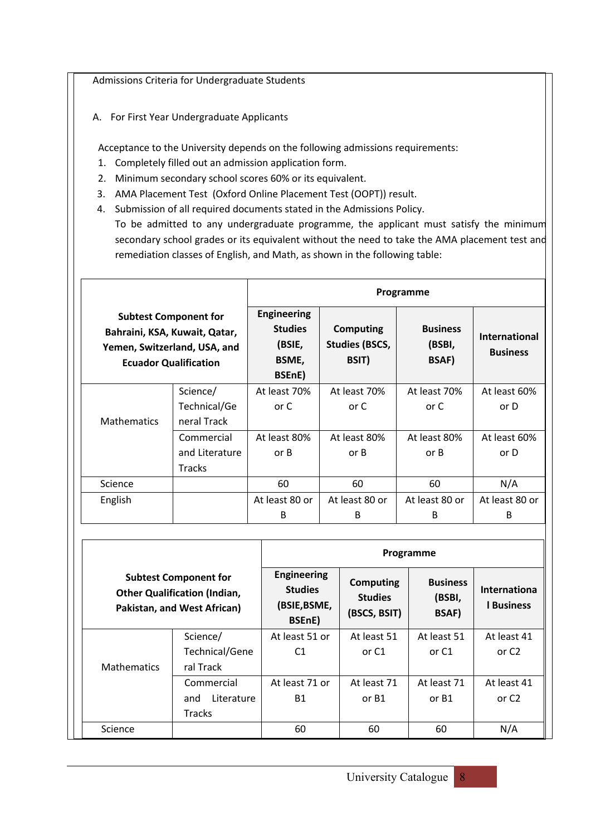Admissions Criteria for Undergraduate Students

A. For First Year Undergraduate Applicants

Acceptance to the University depends on the following admissions requirements:

- 1. Completely filled out an admission application form.
- 2. Minimum secondary school scores 60% or its equivalent.
- 3. AMA Placement Test (Oxford Online Placement Test (OOPT)) result.
- 4. Submission of all required documents stated in the Admissions Policy.

To be admitted to any undergraduate programme, the applicant must satisfy the minimum secondary school grades or its equivalent without the need to take the AMA placement test and remediation classes of English, and Math, as shown in the following table:

|                                                                                                                               |                |                                                                   |                                                           | Programme                                 |                                         |
|-------------------------------------------------------------------------------------------------------------------------------|----------------|-------------------------------------------------------------------|-----------------------------------------------------------|-------------------------------------------|-----------------------------------------|
| <b>Subtest Component for</b><br>Bahraini, KSA, Kuwait, Qatar,<br>Yemen, Switzerland, USA, and<br><b>Ecuador Qualification</b> |                | <b>Engineering</b><br><b>Studies</b><br>(BSIE,<br>BSME,<br>BSEnE) | <b>Computing</b><br><b>Studies (BSCS,</b><br><b>BSIT)</b> | <b>Business</b><br>(BSBI,<br><b>BSAF)</b> | <b>International</b><br><b>Business</b> |
|                                                                                                                               | Science/       | At least 70%                                                      | At least 70%                                              | At least 70%                              | At least 60%                            |
|                                                                                                                               | Technical/Ge   | or C                                                              | or C                                                      | or C                                      | or D                                    |
| <b>Mathematics</b>                                                                                                            | neral Track    |                                                                   |                                                           |                                           |                                         |
|                                                                                                                               | Commercial     | At least 80%                                                      | At least 80%                                              | At least 80%                              | At least 60%                            |
|                                                                                                                               | and Literature | or B                                                              | or B                                                      | or B                                      | or D                                    |
|                                                                                                                               | <b>Tracks</b>  |                                                                   |                                                           |                                           |                                         |
| Science                                                                                                                       |                | 60                                                                | 60                                                        | 60                                        | N/A                                     |
| English                                                                                                                       |                | At least 80 or                                                    | At least 80 or                                            | At least 80 or                            | At least 80 or                          |
|                                                                                                                               |                | B                                                                 | B                                                         | B                                         | B                                       |

|                    |                                                                                                    | Programme                                                      |                                                    |                                           |                                 |  |  |  |  |  |
|--------------------|----------------------------------------------------------------------------------------------------|----------------------------------------------------------------|----------------------------------------------------|-------------------------------------------|---------------------------------|--|--|--|--|--|
|                    | <b>Subtest Component for</b><br><b>Other Qualification (Indian,</b><br>Pakistan, and West African) | <b>Engineering</b><br><b>Studies</b><br>(BSIE, BSME,<br>BSEnE) | <b>Computing</b><br><b>Studies</b><br>(BSCS, BSIT) | <b>Business</b><br>(BSBI,<br><b>BSAF)</b> | Internationa<br><b>Business</b> |  |  |  |  |  |
|                    | Science/                                                                                           | At least 51 or                                                 | At least 51                                        | At least 51                               | At least 41                     |  |  |  |  |  |
|                    | Technical/Gene                                                                                     | C <sub>1</sub>                                                 | or C1                                              | or C1                                     | or C <sub>2</sub>               |  |  |  |  |  |
| <b>Mathematics</b> | ral Track                                                                                          |                                                                |                                                    |                                           |                                 |  |  |  |  |  |
|                    | Commercial                                                                                         | At least 71 or                                                 | At least 71                                        | At least 71                               | At least 41                     |  |  |  |  |  |
|                    | Literature<br>and                                                                                  | <b>B1</b>                                                      | or B1                                              | or B1                                     | or $C2$                         |  |  |  |  |  |
|                    | <b>Tracks</b>                                                                                      |                                                                |                                                    |                                           |                                 |  |  |  |  |  |
| Science            |                                                                                                    | 60                                                             | 60                                                 | 60                                        | N/A                             |  |  |  |  |  |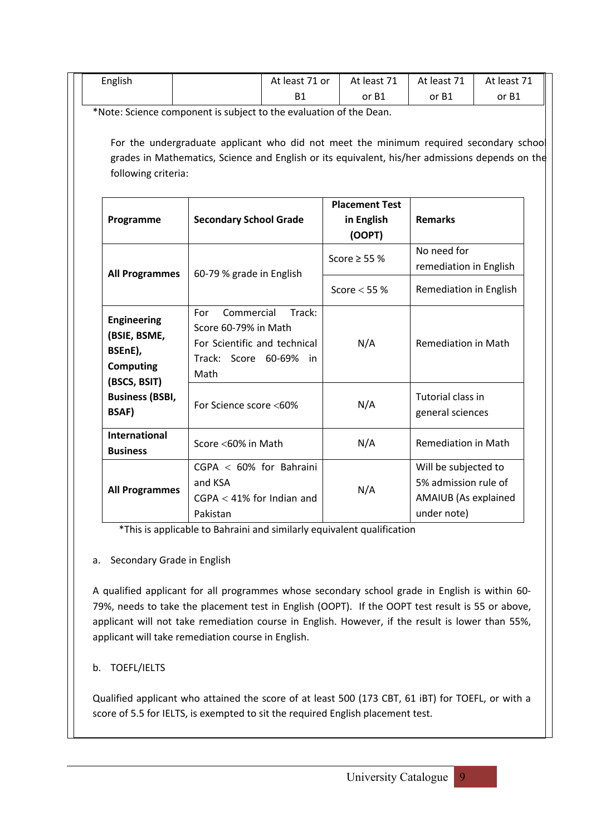| English                                                                           |                                                                                                                                                                                           | At least 71 or | At least 71                                                                                       | At least 71                           | At least 71 |  |  |
|-----------------------------------------------------------------------------------|-------------------------------------------------------------------------------------------------------------------------------------------------------------------------------------------|----------------|---------------------------------------------------------------------------------------------------|---------------------------------------|-------------|--|--|
|                                                                                   |                                                                                                                                                                                           | <b>B1</b>      | or B1                                                                                             | or B1                                 | or B1       |  |  |
|                                                                                   | *Note: Science component is subject to the evaluation of the Dean.                                                                                                                        |                |                                                                                                   |                                       |             |  |  |
| following criteria:                                                               | For the undergraduate applicant who did not meet the minimum required secondary school<br>grades in Mathematics, Science and English or its equivalent, his/her admissions depends on the |                |                                                                                                   |                                       |             |  |  |
| Programme                                                                         | <b>Secondary School Grade</b>                                                                                                                                                             |                | <b>Placement Test</b><br>in English<br>(OOPT)                                                     | <b>Remarks</b>                        |             |  |  |
| <b>All Programmes</b>                                                             | 60-79 % grade in English                                                                                                                                                                  |                | Score $\geq$ 55 %                                                                                 | No need for<br>remediation in English |             |  |  |
|                                                                                   |                                                                                                                                                                                           |                | Score $<$ 55 %                                                                                    | Remediation in English                |             |  |  |
| <b>Engineering</b><br>(BSIE, BSME,<br>BSEnE),<br><b>Computing</b><br>(BSCS, BSIT) | Commercial<br>For<br>Score 60-79% in Math<br>For Scientific and technical<br>Track: Score 60-69%<br>Math                                                                                  | Track:<br>in   | N/A                                                                                               | <b>Remediation in Math</b>            |             |  |  |
| <b>Business (BSBI,</b><br><b>BSAF)</b>                                            | For Science score <60%                                                                                                                                                                    |                | N/A                                                                                               | Tutorial class in<br>general sciences |             |  |  |
| <b>International</b><br><b>Business</b>                                           | Score <60% in Math                                                                                                                                                                        |                | N/A                                                                                               | <b>Remediation in Math</b>            |             |  |  |
| <b>All Programmes</b>                                                             | $CGPA < 60\%$ for Bahraini<br>and KSA<br>$CGPA < 41\%$ for Indian and<br>Pakistan                                                                                                         |                | Will be subjected to<br>5% admission rule of<br>N/A<br><b>AMAIUB</b> (As explained<br>under note) |                                       |             |  |  |

\*This is applicable to Bahraini and similarly equivalent qualification

# a. Secondary Grade in English

A qualified applicant for all programmes whose secondary school grade in English is within 60- 79%, needs to take the placement test in English (OOPT). If the OOPT test result is 55 or above, applicant will not take remediation course in English. However, if the result is lower than 55%, applicant will take remediation course in English.

# b. TOEFL/IELTS

Qualified applicant who attained the score of at least 500 (173 CBT, 61 iBT) for TOEFL, or with a score of 5.5 for IELTS, is exempted to sit the required English placement test.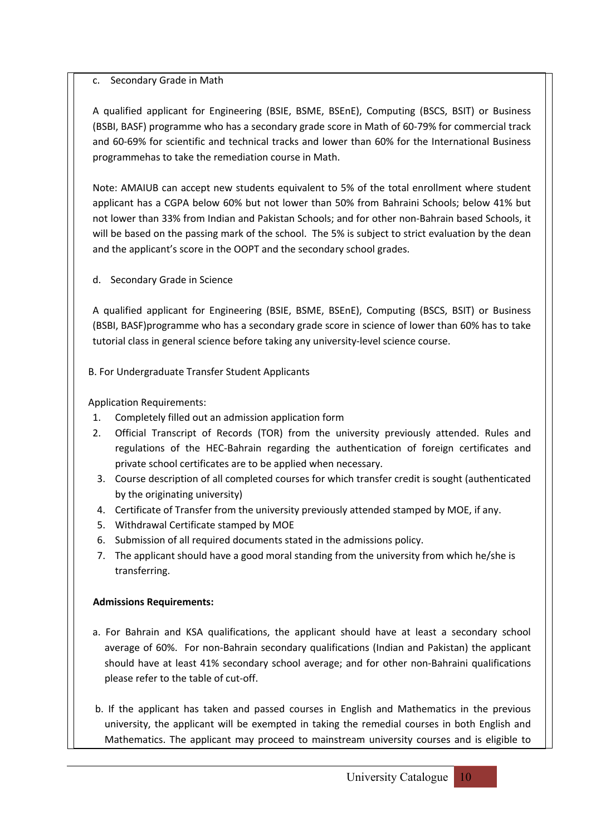# c. Secondary Grade in Math

A qualified applicant for Engineering (BSIE, BSME, BSEnE), Computing (BSCS, BSIT) or Business (BSBI, BASF) programme who has a secondary grade score in Math of 60-79% for commercial track and 60-69% for scientific and technical tracks and lower than 60% for the International Business programmehas to take the remediation course in Math.

Note: AMAIUB can accept new students equivalent to 5% of the total enrollment where student applicant has a CGPA below 60% but not lower than 50% from Bahraini Schools; below 41% but not lower than 33% from Indian and Pakistan Schools; and for other non-Bahrain based Schools, it will be based on the passing mark of the school. The 5% is subject to strict evaluation by the dean and the applicant's score in the OOPT and the secondary school grades.

d. Secondary Grade in Science

A qualified applicant for Engineering (BSIE, BSME, BSEnE), Computing (BSCS, BSIT) or Business (BSBI, BASF)programme who has a secondary grade score in science of lower than 60% has to take tutorial class in general science before taking any university-level science course.

B. For Undergraduate Transfer Student Applicants

Application Requirements:

- 1. Completely filled out an admission application form
- 2. Official Transcript of Records (TOR) from the university previously attended. Rules and regulations of the HEC-Bahrain regarding the authentication of foreign certificates and private school certificates are to be applied when necessary.
- 3. Course description of all completed courses for which transfer credit is sought (authenticated by the originating university)
- 4. Certificate of Transfer from the university previously attended stamped by MOE, if any.
- 5. Withdrawal Certificate stamped by MOE
- 6. Submission of all required documents stated in the admissions policy.
- 7. The applicant should have a good moral standing from the university from which he/she is transferring.

# **Admissions Requirements:**

- a. For Bahrain and KSA qualifications, the applicant should have at least a secondary school average of 60%. For non-Bahrain secondary qualifications (Indian and Pakistan) the applicant should have at least 41% secondary school average; and for other non-Bahraini qualifications please refer to the table of cut-off.
- b. If the applicant has taken and passed courses in English and Mathematics in the previous university, the applicant will be exempted in taking the remedial courses in both English and Mathematics. The applicant may proceed to mainstream university courses and is eligible to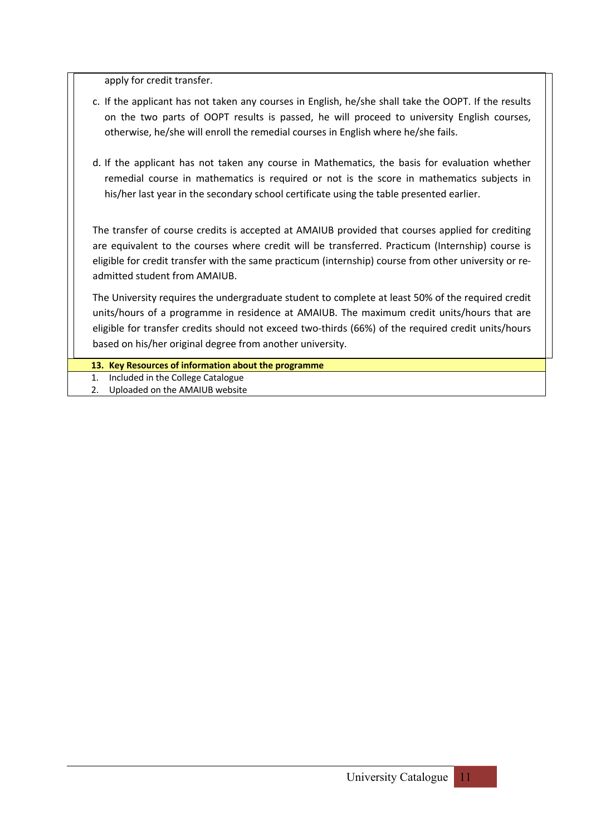apply for credit transfer.

- c. If the applicant has not taken any courses in English, he/she shall take the OOPT. If the results on the two parts of OOPT results is passed, he will proceed to university English courses, otherwise, he/she will enroll the remedial courses in English where he/she fails.
- d. If the applicant has not taken any course in Mathematics, the basis for evaluation whether remedial course in mathematics is required or not is the score in mathematics subjects in his/her last year in the secondary school certificate using the table presented earlier.

The transfer of course credits is accepted at AMAIUB provided that courses applied for crediting are equivalent to the courses where credit will be transferred. Practicum (Internship) course is eligible for credit transfer with the same practicum (internship) course from other university or readmitted student from AMAIUB.

The University requires the undergraduate student to complete at least 50% of the required credit units/hours of a programme in residence at AMAIUB. The maximum credit units/hours that are eligible for transfer credits should not exceed two-thirds (66%) of the required credit units/hours based on his/her original degree from another university.

- **13. Key Resources of information about the programme**
- 1. Included in the College Catalogue
- 2. Uploaded on the AMAIUB website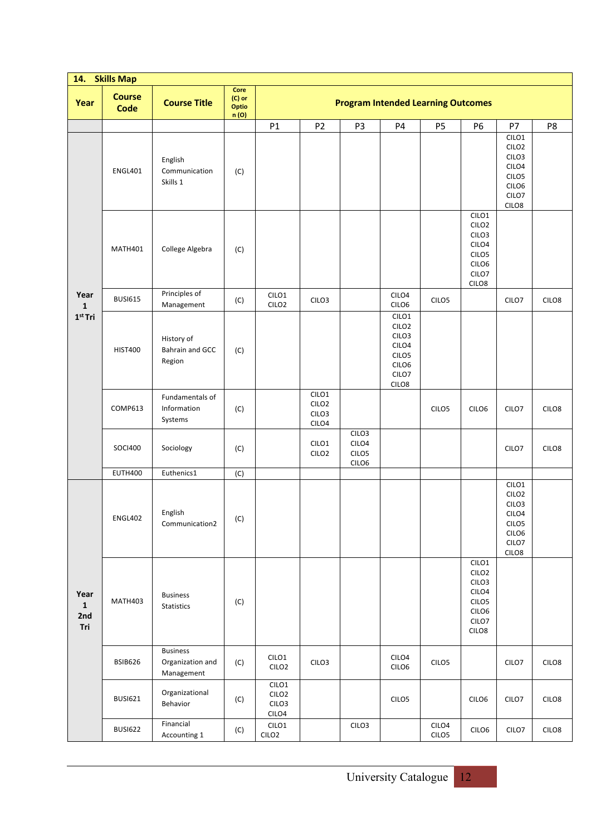|                                    | 14. Skills Map               |                                                   |                                  |                                              |                                              |                                              |                                                                                                          |                            |                                                                                              |                                                                                                          |       |
|------------------------------------|------------------------------|---------------------------------------------------|----------------------------------|----------------------------------------------|----------------------------------------------|----------------------------------------------|----------------------------------------------------------------------------------------------------------|----------------------------|----------------------------------------------------------------------------------------------|----------------------------------------------------------------------------------------------------------|-------|
| Year                               | <b>Course</b><br><b>Code</b> | <b>Course Title</b>                               | Core<br>(C) or<br>Optio<br>n (O) |                                              |                                              | <b>Program Intended Learning Outcomes</b>    |                                                                                                          |                            |                                                                                              |                                                                                                          |       |
|                                    |                              |                                                   |                                  | P1                                           | P <sub>2</sub>                               | P <sub>3</sub>                               | P4                                                                                                       | P <sub>5</sub>             | P6                                                                                           | P7                                                                                                       | P8    |
|                                    | <b>ENGL401</b>               | English<br>Communication<br>Skills 1              | (C)                              |                                              |                                              |                                              |                                                                                                          |                            |                                                                                              | CILO1<br>CILO <sub>2</sub><br>CILO <sub>3</sub><br>CILO4<br>CILO <sub>5</sub><br>CILO6<br>CILO7<br>CILO8 |       |
|                                    | MATH401                      | College Algebra                                   | (C)                              |                                              |                                              |                                              |                                                                                                          |                            | CILO1<br>CILO <sub>2</sub><br>CILO <sub>3</sub><br>CILO4<br>CILO5<br>CILO6<br>CILO7<br>CILO8 |                                                                                                          |       |
| Year<br>$\mathbf{1}$               | <b>BUSI615</b>               | Principles of<br>Management                       | (C)                              | CILO1<br>CILO <sub>2</sub>                   | CILO <sub>3</sub>                            |                                              | CILO4<br>CILO6                                                                                           | CILO <sub>5</sub>          |                                                                                              | CILO7                                                                                                    | CILO8 |
| $1st$ Tri                          | <b>HIST400</b>               | History of<br><b>Bahrain and GCC</b><br>Region    | (C)                              |                                              |                                              |                                              | CILO1<br>CILO <sub>2</sub><br>CILO <sub>3</sub><br>CILO4<br>CILO <sub>5</sub><br>CILO6<br>CILO7<br>CILO8 |                            |                                                                                              |                                                                                                          |       |
|                                    | <b>COMP613</b>               | Fundamentals of<br>Information<br>Systems         | (C)                              |                                              | CILO1<br>CILO <sub>2</sub><br>CILO3<br>CILO4 |                                              |                                                                                                          | CILO <sub>5</sub>          | CILO6                                                                                        | CILO7                                                                                                    | CILO8 |
|                                    | <b>SOCI400</b>               | Sociology                                         | (C)                              |                                              | CILO1<br>CILO <sub>2</sub>                   | CILO <sub>3</sub><br>CILO4<br>CILO5<br>CILO6 |                                                                                                          |                            |                                                                                              | CILO7                                                                                                    | CILO8 |
|                                    | <b>EUTH400</b>               | Euthenics1                                        | (C)                              |                                              |                                              |                                              |                                                                                                          |                            |                                                                                              |                                                                                                          |       |
|                                    | <b>ENGL402</b>               | English<br>Communication2                         | (C)                              |                                              |                                              |                                              |                                                                                                          |                            |                                                                                              | CILO1<br>CILO <sub>2</sub><br>CILO <sub>3</sub><br>CILO4<br>CILO <sub>5</sub><br>CILO6<br>CILO7<br>CILO8 |       |
| Year<br>$\mathbf{1}$<br>2nd<br>Tri | MATH403                      | <b>Business</b><br>Statistics                     | (C)                              |                                              |                                              |                                              |                                                                                                          |                            | CILO1<br>CILO <sub>2</sub><br>CILO3<br>CILO4<br>CILO <sub>5</sub><br>CILO6<br>CILO7<br>CILO8 |                                                                                                          |       |
|                                    | <b>BSIB626</b>               | <b>Business</b><br>Organization and<br>Management | (C)                              | CILO1<br>CILO <sub>2</sub>                   | CILO3                                        |                                              | CILO4<br>CILOG                                                                                           | CILO5                      |                                                                                              | CILO7                                                                                                    | CILO8 |
|                                    | <b>BUSI621</b>               | Organizational<br>Behavior                        | (C)                              | CILO1<br>CILO <sub>2</sub><br>CILO3<br>CILO4 |                                              |                                              | CILO <sub>5</sub>                                                                                        |                            | CILO6                                                                                        | CILO7                                                                                                    | CILO8 |
|                                    | <b>BUSI622</b>               | Financial<br>Accounting 1                         | (C)                              | CILO1<br>CILO <sub>2</sub>                   |                                              | CILO3                                        |                                                                                                          | CILO4<br>CILO <sub>5</sub> | CILO6                                                                                        | CILO7                                                                                                    | CILO8 |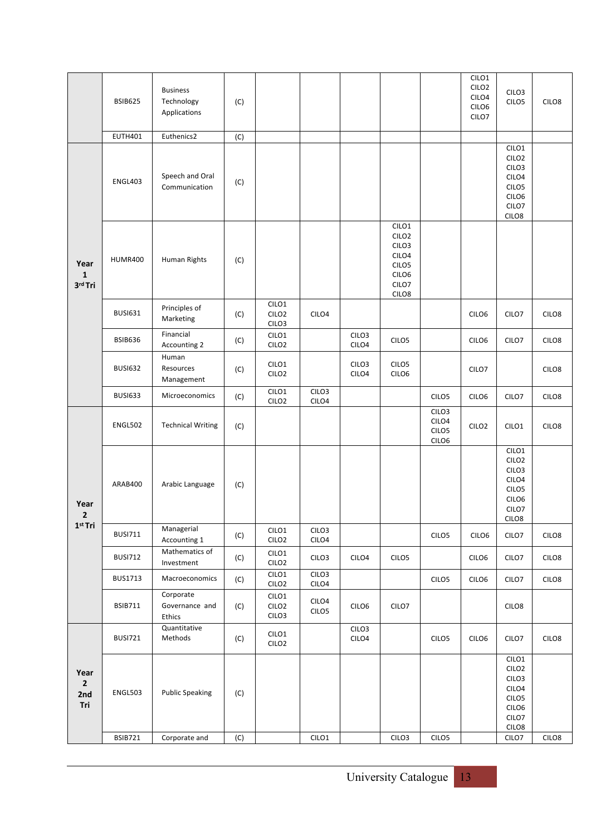|                                      | <b>BSIB625</b> | <b>Business</b><br>Technology<br>Applications | (C) |                                     |                            |                            |                                                                                                          |                                                                      | CILO1<br>CILO <sub>2</sub><br>CILO4<br>CILO6<br>CILO7 | CILO <sub>3</sub><br>CILO <sub>5</sub>                                                                   | CILO8             |
|--------------------------------------|----------------|-----------------------------------------------|-----|-------------------------------------|----------------------------|----------------------------|----------------------------------------------------------------------------------------------------------|----------------------------------------------------------------------|-------------------------------------------------------|----------------------------------------------------------------------------------------------------------|-------------------|
|                                      | <b>EUTH401</b> | Euthenics2                                    | (C) |                                     |                            |                            |                                                                                                          |                                                                      |                                                       |                                                                                                          |                   |
| Year<br>$\mathbf{1}$<br>3rd Tri      | <b>ENGL403</b> | Speech and Oral<br>Communication              | (C) |                                     |                            |                            |                                                                                                          |                                                                      |                                                       | CILO1<br>CILO <sub>2</sub><br>CILO <sub>3</sub><br>CILO4<br>CILO <sub>5</sub><br>CILO6<br>CILO7<br>CILO8 |                   |
|                                      | <b>HUMR400</b> | Human Rights                                  | (C) |                                     |                            |                            | CILO1<br>CILO <sub>2</sub><br>CILO <sub>3</sub><br>CILO4<br>CILO <sub>5</sub><br>CILO6<br>CILO7<br>CILO8 |                                                                      |                                                       |                                                                                                          |                   |
|                                      | <b>BUSI631</b> | Principles of<br>Marketing                    | (C) | CILO1<br>CILO <sub>2</sub><br>CILO3 | CILO4                      |                            |                                                                                                          |                                                                      | CILO6                                                 | CILO7                                                                                                    | CILO <sub>8</sub> |
|                                      | <b>BSIB636</b> | Financial<br>Accounting 2                     | (C) | CILO1<br>CILO <sub>2</sub>          |                            | CILO <sub>3</sub><br>CILO4 | CILO <sub>5</sub>                                                                                        |                                                                      | CILO <sub>6</sub>                                     | CILO7                                                                                                    | CILO8             |
|                                      | <b>BUSI632</b> | Human<br>Resources<br>Management              | (C) | CILO1<br>CILO <sub>2</sub>          |                            | CILO <sub>3</sub><br>CILO4 | CILO <sub>5</sub><br>CILO6                                                                               |                                                                      | CILO7                                                 |                                                                                                          | CILO <sub>8</sub> |
|                                      | <b>BUSI633</b> | Microeconomics                                | (C) | CILO1<br>CILO <sub>2</sub>          | CILO <sub>3</sub><br>CILO4 |                            |                                                                                                          | CILO <sub>5</sub>                                                    | CILO6                                                 | CILO7                                                                                                    | CILO <sub>8</sub> |
|                                      | <b>ENGL502</b> | <b>Technical Writing</b>                      | (C) |                                     |                            |                            |                                                                                                          | CILO <sub>3</sub><br>CILO4<br>CILO <sub>5</sub><br>CILO <sub>6</sub> | CILO <sub>2</sub>                                     | CILO1                                                                                                    | CILO8             |
| Year<br>2                            | ARAB400        | Arabic Language                               | (C) |                                     |                            |                            |                                                                                                          |                                                                      |                                                       | CILO1<br>CILO <sub>2</sub><br>CILO <sub>3</sub><br>CILO4<br>CILO <sub>5</sub><br>CILO6<br>CILO7<br>CILO8 |                   |
| 1 <sup>st</sup> Tri                  | <b>BUSI711</b> | Managerial<br>Accounting 1                    | (C) | CILO1<br>CILO <sub>2</sub>          | CILO3<br>CILO4             |                            |                                                                                                          | CILO <sub>5</sub>                                                    | CILO6                                                 | CILO7                                                                                                    | CILO8             |
|                                      | <b>BUSI712</b> | Mathematics of<br>Investment                  | (C) | CILO1<br>CILO <sub>2</sub>          | CILO3                      | CILO4                      | CILO <sub>5</sub>                                                                                        |                                                                      | CILO6                                                 | CILO7                                                                                                    | CILO8             |
|                                      | <b>BUS1713</b> | Macroeconomics                                | (C) | CILO1<br>CILO <sub>2</sub>          | CILO <sub>3</sub><br>CILO4 |                            |                                                                                                          | CILO <sub>5</sub>                                                    | CILO6                                                 | CILO7                                                                                                    | CILO8             |
|                                      | <b>BSIB711</b> | Corporate<br>Governance and<br>Ethics         | (C) | CILO1<br>CILO <sub>2</sub><br>CILO3 | CILO4<br>CILO5             | CILO6                      | CILO7                                                                                                    |                                                                      |                                                       | CILO8                                                                                                    |                   |
|                                      | <b>BUSI721</b> | Quantitative<br>Methods                       | (C) | CILO1<br>CILO <sub>2</sub>          |                            | CILO3<br>CILO4             |                                                                                                          | CILO <sub>5</sub>                                                    | CILO6                                                 | CILO7                                                                                                    | CILO8             |
| Year<br>$\overline{2}$<br>2nd<br>Tri | <b>ENGL503</b> | <b>Public Speaking</b>                        | (C) |                                     |                            |                            |                                                                                                          |                                                                      |                                                       | CILO1<br>CILO <sub>2</sub><br>CILO3<br>CILO4<br>CILO <sub>5</sub><br>CILO6<br>CILO7<br>CILO8             |                   |
|                                      | <b>BSIB721</b> | Corporate and                                 | (C) |                                     | CILO1                      |                            | CILO <sub>3</sub>                                                                                        | CILO5                                                                |                                                       | CILO7                                                                                                    | CILO8             |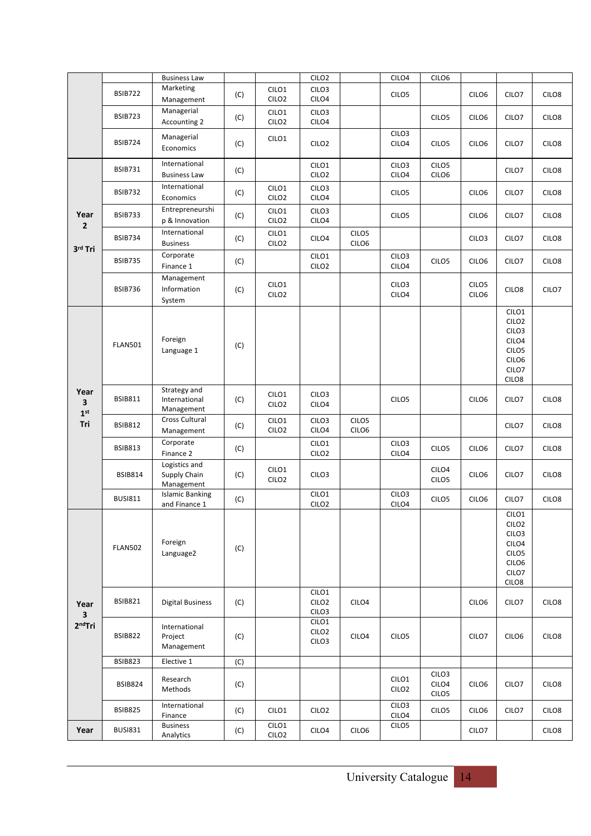|                              |                | <b>Business Law</b>                         |     |                            | CILO <sub>2</sub>                               |                | CILO4                      | CILO6                                           |                            |                                                                                                                      |                   |
|------------------------------|----------------|---------------------------------------------|-----|----------------------------|-------------------------------------------------|----------------|----------------------------|-------------------------------------------------|----------------------------|----------------------------------------------------------------------------------------------------------------------|-------------------|
|                              | <b>BSIB722</b> | Marketing<br>Management                     | (C) | CILO1<br>CILO <sub>2</sub> | CILO <sub>3</sub><br>CILO4                      |                | CILO <sub>5</sub>          |                                                 | CILO6                      | CILO7                                                                                                                | CILO8             |
|                              | <b>BSIB723</b> | Managerial<br>Accounting 2                  | (C) | CILO1<br>CILO <sub>2</sub> | CILO <sub>3</sub><br>CILO4                      |                |                            | CILO5                                           | CILO6                      | CILO7                                                                                                                | CILO8             |
|                              | <b>BSIB724</b> | Managerial<br>Economics                     | (C) | CILO1                      | CILO <sub>2</sub>                               |                | CILO <sub>3</sub><br>CILO4 | CILO <sub>5</sub>                               | CILO <sub>6</sub>          | CILO7                                                                                                                | CILO8             |
|                              | <b>BSIB731</b> | International<br><b>Business Law</b>        | (C) |                            | CILO1<br>CILO <sub>2</sub>                      |                | CILO <sub>3</sub><br>CILO4 | CILO5<br>CILO6                                  |                            | CILO7                                                                                                                | CILO8             |
|                              | <b>BSIB732</b> | International<br>Economics                  | (C) | CILO1<br>CILO <sub>2</sub> | CILO <sub>3</sub><br>CILO4                      |                | CILO <sub>5</sub>          |                                                 | CILO6                      | CILO7                                                                                                                | CILO8             |
| Year<br>$\mathbf 2$          | <b>BSIB733</b> | Entrepreneurshi<br>p & Innovation           | (C) | CILO1<br>CILO <sub>2</sub> | CILO <sub>3</sub><br>CILO4                      |                | CILO <sub>5</sub>          |                                                 | CILO <sub>6</sub>          | CILO7                                                                                                                | CILO8             |
| 3rd Tri                      | <b>BSIB734</b> | International<br><b>Business</b>            | (C) | CILO1<br>CILO <sub>2</sub> | CILO4                                           | CILO5<br>CILO6 |                            |                                                 | CILO <sub>3</sub>          | CILO7                                                                                                                | CILO8             |
|                              | <b>BSIB735</b> | Corporate<br>Finance 1                      | (C) |                            | CILO1<br>CILO <sub>2</sub>                      |                | CILO <sub>3</sub><br>CILO4 | CILO <sub>5</sub>                               | CILO6                      | CILO7                                                                                                                | CILO8             |
|                              | <b>BSIB736</b> | Management<br>Information<br>System         | (C) | CILO1<br>CILO <sub>2</sub> |                                                 |                | CILO <sub>3</sub><br>CILO4 |                                                 | CILO <sub>5</sub><br>CILO6 | CILO <sub>8</sub>                                                                                                    | CILO7             |
|                              | <b>FLAN501</b> | Foreign<br>Language 1                       | (C) |                            |                                                 |                |                            |                                                 |                            | CILO1<br>CILO <sub>2</sub><br>CILO <sub>3</sub><br>CILO4<br>CILO <sub>5</sub><br>CILO6<br>CILO7<br>CILO8             |                   |
| Year<br>3<br>1 <sup>st</sup> | <b>BSIB811</b> | Strategy and<br>International<br>Management | (C) | CILO1<br>CILO <sub>2</sub> | CILO <sub>3</sub><br>CILO4                      |                | CILO <sub>5</sub>          |                                                 | CILO6                      | CILO7                                                                                                                | CILO8             |
| Tri                          | <b>BSIB812</b> | Cross Cultural<br>Management                | (C) | CILO1<br>CILO <sub>2</sub> | CILO <sub>3</sub><br>CILO4                      | CILO5<br>CILO6 |                            |                                                 |                            | CILO7                                                                                                                | CILO8             |
|                              | <b>BSIB813</b> | Corporate<br>Finance 2                      | (C) |                            | CILO1<br>CILO <sub>2</sub>                      |                | CILO <sub>3</sub><br>CILO4 | CILO <sub>5</sub>                               | CILO <sub>6</sub>          | CILO7                                                                                                                | CILO8             |
|                              | <b>BSIB814</b> | Logistics and<br>Supply Chain<br>Management | (C) | CILO1<br>CILO <sub>2</sub> | CILO <sub>3</sub>                               |                |                            | CILO4<br>CILO5                                  | CILO <sub>6</sub>          | CILO7                                                                                                                | CILO8             |
|                              | <b>BUSI811</b> | <b>Islamic Banking</b><br>and Finance 1     | (C) |                            | CILO1<br>CILO <sub>2</sub>                      |                | CILO <sub>3</sub><br>CILO4 | CILO <sub>5</sub>                               | CILO <sub>6</sub>          | CILO7                                                                                                                | CILO8             |
|                              | <b>FLAN502</b> | Foreign<br>Language2                        | (C) |                            |                                                 |                |                            |                                                 |                            | CILO <sub>1</sub><br>CILO <sub>2</sub><br>CILO <sub>3</sub><br>CILO4<br>CILO <sub>5</sub><br>CILO6<br>CILO7<br>CILO8 |                   |
| Year<br>3                    | <b>BSIB821</b> | <b>Digital Business</b>                     | (C) |                            | CILO1<br>CILO <sub>2</sub><br>CILO <sub>3</sub> | CILO4          |                            |                                                 | CILO6                      | CILO7                                                                                                                | CILO <sub>8</sub> |
| $2nd$ Tri                    | <b>BSIB822</b> | International<br>Project<br>Management      | (C) |                            | CILO1<br>CILO <sub>2</sub><br>CILO3             | CILO4          | CILO <sub>5</sub>          |                                                 | CILO7                      | CILO6                                                                                                                | CILO8             |
|                              | <b>BSIB823</b> | Elective 1                                  | (C) |                            |                                                 |                |                            |                                                 |                            |                                                                                                                      |                   |
|                              | <b>BSIB824</b> | Research<br>Methods                         | (C) |                            |                                                 |                | CILO1<br>CILO <sub>2</sub> | CILO <sub>3</sub><br>CILO4<br>CILO <sub>5</sub> | CILO6                      | CILO7                                                                                                                | CILO <sub>8</sub> |
|                              | <b>BSIB825</b> | International<br>Finance                    | (C) | CILO1                      | CILO <sub>2</sub>                               |                | CILO3<br>CILO4             | CILO <sub>5</sub>                               | CILO <sub>6</sub>          | CILO7                                                                                                                | CILO <sub>8</sub> |
| Year                         | <b>BUSI831</b> | <b>Business</b><br>Analytics                | (C) | CILO1<br>CILO <sub>2</sub> | CILO4                                           | CILO6          | CILO <sub>5</sub>          |                                                 | CILO7                      |                                                                                                                      | CILO8             |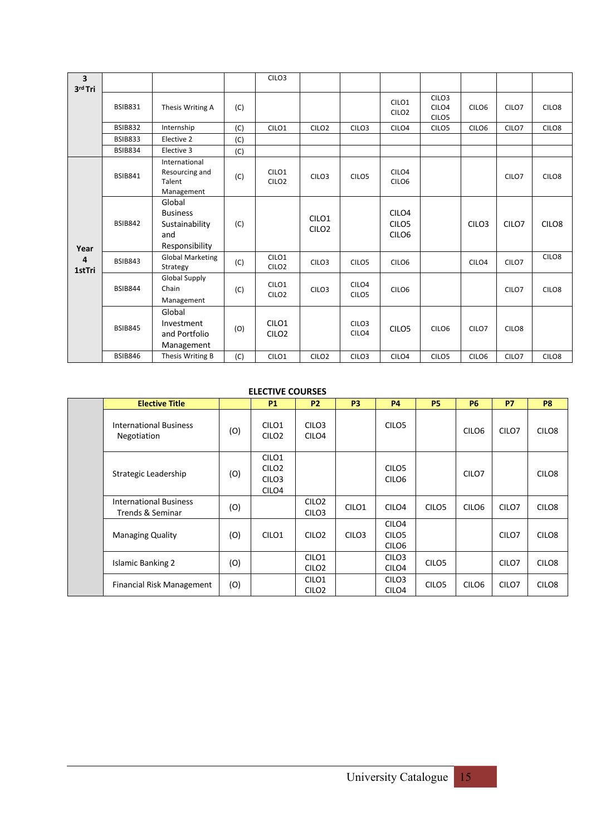| $\overline{\mathbf{3}}$<br>3rd Tri |                |                                                                      |     | CILO <sub>3</sub>                      |                                        |                            |                                                             |                                                 |                   |                   |                   |
|------------------------------------|----------------|----------------------------------------------------------------------|-----|----------------------------------------|----------------------------------------|----------------------------|-------------------------------------------------------------|-------------------------------------------------|-------------------|-------------------|-------------------|
|                                    | <b>BSIB831</b> | Thesis Writing A                                                     | (C) |                                        |                                        |                            | CILO1<br>CILO <sub>2</sub>                                  | CILO <sub>3</sub><br>CILO4<br>CILO <sub>5</sub> | CILO6             | CILO7             | CILO <sub>8</sub> |
|                                    | <b>BSIB832</b> | Internship                                                           | (C) | CILO1                                  | CILO <sub>2</sub>                      | CILO <sub>3</sub>          | CILO4                                                       | CILO <sub>5</sub>                               | CILO6             | CILO7             | CILO <sub>8</sub> |
|                                    | <b>BSIB833</b> | Elective 2                                                           | (C) |                                        |                                        |                            |                                                             |                                                 |                   |                   |                   |
|                                    | <b>BSIB834</b> | Elective 3                                                           | (C) |                                        |                                        |                            |                                                             |                                                 |                   |                   |                   |
| Year                               | <b>BSIB841</b> | International<br>Resourcing and<br>Talent<br>Management              | (C) | CILO <sub>1</sub><br>CILO <sub>2</sub> | CILO <sub>3</sub>                      | CILO <sub>5</sub>          | CILO4<br>CILO <sub>6</sub>                                  |                                                 |                   | CILO7             | CILO <sub>8</sub> |
|                                    | <b>BSIB842</b> | Global<br><b>Business</b><br>Sustainability<br>and<br>Responsibility | (C) |                                        | CILO <sub>1</sub><br>CILO <sub>2</sub> |                            | CILO <sub>4</sub><br>CILO <sub>5</sub><br>CILO <sub>6</sub> |                                                 | CILO <sub>3</sub> | CILO7             | CILO <sub>8</sub> |
| 4<br>1stTri                        | <b>BSIB843</b> | <b>Global Marketing</b><br>Strategy                                  | (C) | CILO1<br>CILO <sub>2</sub>             | CILO <sub>3</sub>                      | CILO <sub>5</sub>          | CILO <sub>6</sub>                                           |                                                 | CILO <sub>4</sub> | CILO7             | CILO8             |
|                                    | <b>BSIB844</b> | <b>Global Supply</b><br>Chain<br>Management                          | (C) | CILO1<br>CILO <sub>2</sub>             | CILO <sub>3</sub>                      | CILO4<br>CILO <sub>5</sub> | CILO <sub>6</sub>                                           |                                                 |                   | CILO7             | CILO <sub>8</sub> |
|                                    | <b>BSIB845</b> | Global<br>Investment<br>and Portfolio<br>Management                  | (O) | CILO <sub>1</sub><br>CILO <sub>2</sub> |                                        | CILO <sub>3</sub><br>CILO4 | CILO <sub>5</sub>                                           | CILO <sub>6</sub>                               | CILO <sub>7</sub> | CILO <sub>8</sub> |                   |
|                                    | <b>BSIB846</b> | Thesis Writing B                                                     | (C) | CILO1                                  | CILO <sub>2</sub>                      | CILO <sub>3</sub>          | CILO4                                                       | CILO <sub>5</sub>                               | CILO6             | CILO7             | CILO8             |

### **ELECTIVE COURSES**

|  | <b>Elective Title</b>                             |     | <b>P1</b>                                                                        | <b>P2</b>                              | <b>P3</b>         | <b>P4</b>                                                   | <b>P5</b>         | <b>P6</b>         | <b>P7</b>         | P <sub>8</sub>    |
|--|---------------------------------------------------|-----|----------------------------------------------------------------------------------|----------------------------------------|-------------------|-------------------------------------------------------------|-------------------|-------------------|-------------------|-------------------|
|  | <b>International Business</b><br>Negotiation      | (0) | CILO <sub>1</sub><br>CILO <sub>2</sub>                                           | CILO <sub>3</sub><br>CILO <sub>4</sub> |                   | CILO <sub>5</sub>                                           |                   | CILO <sub>6</sub> | CILO7             | CILO <sub>8</sub> |
|  | Strategic Leadership                              | (O) | CILO <sub>1</sub><br>CILO <sub>2</sub><br>CILO <sub>3</sub><br>CILO <sub>4</sub> |                                        |                   | CILO <sub>5</sub><br>CILO <sub>6</sub>                      |                   | CILO7             |                   | CILO <sub>8</sub> |
|  | <b>International Business</b><br>Trends & Seminar | (O) |                                                                                  | CILO <sub>2</sub><br>CILO <sub>3</sub> | CILO <sub>1</sub> | CILO <sub>4</sub>                                           | CILO <sub>5</sub> | CILO <sub>6</sub> | CILO <sub>7</sub> | CILO <sub>8</sub> |
|  | <b>Managing Quality</b>                           | (O) | CILO <sub>1</sub>                                                                | CILO <sub>2</sub>                      | CILO <sub>3</sub> | CILO <sub>4</sub><br>CILO <sub>5</sub><br>CILO <sub>6</sub> |                   |                   | CILO7             | CILO <sub>8</sub> |
|  | <b>Islamic Banking 2</b>                          | (O) |                                                                                  | CILO1<br>CILO <sub>2</sub>             |                   | CILO <sub>3</sub><br>CILO <sub>4</sub>                      | CILO <sub>5</sub> |                   | CILO7             | CILO <sub>8</sub> |
|  | Financial Risk Management                         | (O) |                                                                                  | CILO1<br>CILO <sub>2</sub>             |                   | CILO <sub>3</sub><br>CILO <sub>4</sub>                      | CILO <sub>5</sub> | CILO <sub>6</sub> | CILO7             | CILO <sub>8</sub> |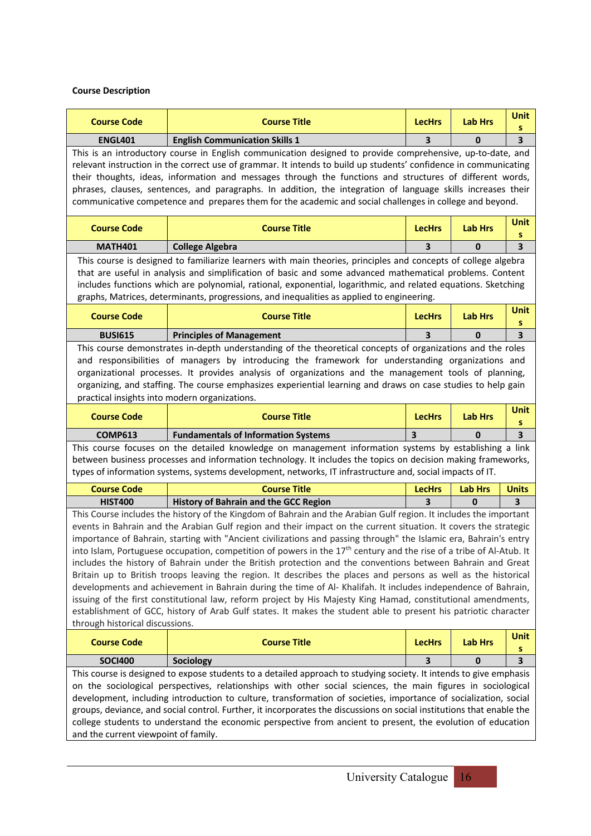### **Course Description**

| <b>Course Code</b>                                                                                                                                                                                                                                                                                                                                                                                                                                                                                                                                                                                                                                                                                                                                                                                                                                                                                                                                                                                                                                                                                            | <b>Course Title</b>                                                                                                                                                                                                                                                                                                                                                                                                                                                                                                                                                    | <b>LecHrs</b>           | <b>Lab Hrs</b> | <b>Unit</b><br>s |
|---------------------------------------------------------------------------------------------------------------------------------------------------------------------------------------------------------------------------------------------------------------------------------------------------------------------------------------------------------------------------------------------------------------------------------------------------------------------------------------------------------------------------------------------------------------------------------------------------------------------------------------------------------------------------------------------------------------------------------------------------------------------------------------------------------------------------------------------------------------------------------------------------------------------------------------------------------------------------------------------------------------------------------------------------------------------------------------------------------------|------------------------------------------------------------------------------------------------------------------------------------------------------------------------------------------------------------------------------------------------------------------------------------------------------------------------------------------------------------------------------------------------------------------------------------------------------------------------------------------------------------------------------------------------------------------------|-------------------------|----------------|------------------|
| <b>ENGL401</b>                                                                                                                                                                                                                                                                                                                                                                                                                                                                                                                                                                                                                                                                                                                                                                                                                                                                                                                                                                                                                                                                                                | <b>English Communication Skills 1</b>                                                                                                                                                                                                                                                                                                                                                                                                                                                                                                                                  | 3                       | 0              | 3                |
|                                                                                                                                                                                                                                                                                                                                                                                                                                                                                                                                                                                                                                                                                                                                                                                                                                                                                                                                                                                                                                                                                                               | This is an introductory course in English communication designed to provide comprehensive, up-to-date, and<br>relevant instruction in the correct use of grammar. It intends to build up students' confidence in communicating<br>their thoughts, ideas, information and messages through the functions and structures of different words,<br>phrases, clauses, sentences, and paragraphs. In addition, the integration of language skills increases their<br>communicative competence and prepares them for the academic and social challenges in college and beyond. |                         |                |                  |
| <b>Course Code</b>                                                                                                                                                                                                                                                                                                                                                                                                                                                                                                                                                                                                                                                                                                                                                                                                                                                                                                                                                                                                                                                                                            | <b>Course Title</b>                                                                                                                                                                                                                                                                                                                                                                                                                                                                                                                                                    | <b>LecHrs</b>           | <b>Lab Hrs</b> | Unit<br>s        |
| <b>MATH401</b>                                                                                                                                                                                                                                                                                                                                                                                                                                                                                                                                                                                                                                                                                                                                                                                                                                                                                                                                                                                                                                                                                                | <b>College Algebra</b>                                                                                                                                                                                                                                                                                                                                                                                                                                                                                                                                                 | 3                       | 0              | 3                |
|                                                                                                                                                                                                                                                                                                                                                                                                                                                                                                                                                                                                                                                                                                                                                                                                                                                                                                                                                                                                                                                                                                               | This course is designed to familiarize learners with main theories, principles and concepts of college algebra<br>that are useful in analysis and simplification of basic and some advanced mathematical problems. Content<br>includes functions which are polynomial, rational, exponential, logarithmic, and related equations. Sketching<br>graphs, Matrices, determinants, progressions, and inequalities as applied to engineering.                                                                                                                               |                         |                | <b>Unit</b>      |
| <b>Course Code</b>                                                                                                                                                                                                                                                                                                                                                                                                                                                                                                                                                                                                                                                                                                                                                                                                                                                                                                                                                                                                                                                                                            | <b>Course Title</b>                                                                                                                                                                                                                                                                                                                                                                                                                                                                                                                                                    | <b>LecHrs</b>           | <b>Lab Hrs</b> | s                |
| <b>BUSI615</b>                                                                                                                                                                                                                                                                                                                                                                                                                                                                                                                                                                                                                                                                                                                                                                                                                                                                                                                                                                                                                                                                                                | <b>Principles of Management</b>                                                                                                                                                                                                                                                                                                                                                                                                                                                                                                                                        | 3                       | 0              | 3                |
| practical insights into modern organizations.                                                                                                                                                                                                                                                                                                                                                                                                                                                                                                                                                                                                                                                                                                                                                                                                                                                                                                                                                                                                                                                                 | This course demonstrates in-depth understanding of the theoretical concepts of organizations and the roles<br>and responsibilities of managers by introducing the framework for understanding organizations and<br>organizational processes. It provides analysis of organizations and the management tools of planning,<br>organizing, and staffing. The course emphasizes experiential learning and draws on case studies to help gain                                                                                                                               |                         |                |                  |
| <b>Course Code</b>                                                                                                                                                                                                                                                                                                                                                                                                                                                                                                                                                                                                                                                                                                                                                                                                                                                                                                                                                                                                                                                                                            | <b>Course Title</b>                                                                                                                                                                                                                                                                                                                                                                                                                                                                                                                                                    | <b>LecHrs</b>           | <b>Lab Hrs</b> | <b>Unit</b><br>s |
| <b>COMP613</b>                                                                                                                                                                                                                                                                                                                                                                                                                                                                                                                                                                                                                                                                                                                                                                                                                                                                                                                                                                                                                                                                                                | <b>Fundamentals of Information Systems</b>                                                                                                                                                                                                                                                                                                                                                                                                                                                                                                                             | 3                       | $\mathbf{0}$   | 3                |
|                                                                                                                                                                                                                                                                                                                                                                                                                                                                                                                                                                                                                                                                                                                                                                                                                                                                                                                                                                                                                                                                                                               | This course focuses on the detailed knowledge on management information systems by establishing a link<br>between business processes and information technology. It includes the topics on decision making frameworks,<br>types of information systems, systems development, networks, IT infrastructure and, social impacts of IT.                                                                                                                                                                                                                                    |                         |                |                  |
| <b>Course Code</b>                                                                                                                                                                                                                                                                                                                                                                                                                                                                                                                                                                                                                                                                                                                                                                                                                                                                                                                                                                                                                                                                                            | <b>Course Title</b>                                                                                                                                                                                                                                                                                                                                                                                                                                                                                                                                                    | <b>LecHrs</b>           | <b>Lab Hrs</b> | <b>Units</b>     |
| <b>HIST400</b>                                                                                                                                                                                                                                                                                                                                                                                                                                                                                                                                                                                                                                                                                                                                                                                                                                                                                                                                                                                                                                                                                                | <b>History of Bahrain and the GCC Region</b>                                                                                                                                                                                                                                                                                                                                                                                                                                                                                                                           | 3                       | 0              | 3                |
| This Course includes the history of the Kingdom of Bahrain and the Arabian Gulf region. It includes the important<br>events in Bahrain and the Arabian Gulf region and their impact on the current situation. It covers the strategic<br>importance of Bahrain, starting with "Ancient civilizations and passing through" the Islamic era, Bahrain's entry<br>into Islam, Portuguese occupation, competition of powers in the $17th$ century and the rise of a tribe of Al-Atub. It  <br>includes the history of Bahrain under the British protection and the conventions between Bahrain and Great<br>Britain up to British troops leaving the region. It describes the places and persons as well as the historical<br>developments and achievement in Bahrain during the time of Al- Khalifah. It includes independence of Bahrain,<br>issuing of the first constitutional law, reform project by His Majesty King Hamad, constitutional amendments,<br>establishment of GCC, history of Arab Gulf states. It makes the student able to present his patriotic character<br>through historical discussions. |                                                                                                                                                                                                                                                                                                                                                                                                                                                                                                                                                                        |                         |                |                  |
| <b>Course Code</b>                                                                                                                                                                                                                                                                                                                                                                                                                                                                                                                                                                                                                                                                                                                                                                                                                                                                                                                                                                                                                                                                                            | <b>Course Title</b>                                                                                                                                                                                                                                                                                                                                                                                                                                                                                                                                                    | <b>LecHrs</b>           | <b>Lab Hrs</b> | <b>Unit</b><br>s |
| <b>SOCI400</b>                                                                                                                                                                                                                                                                                                                                                                                                                                                                                                                                                                                                                                                                                                                                                                                                                                                                                                                                                                                                                                                                                                | Sociology                                                                                                                                                                                                                                                                                                                                                                                                                                                                                                                                                              | $\overline{\mathbf{3}}$ | $\mathbf{0}$   | 3                |
| This course is designed to expose students to a detailed approach to studying society. It intends to give emphasis<br>on the sociological perspectives, relationships with other social sciences, the main figures in sociological<br>development, including introduction to culture, transformation of societies, importance of socialization, social<br>groups, deviance, and social control. Further, it incorporates the discussions on social institutions that enable the<br>college students to understand the economic perspective from ancient to present, the evolution of education<br>and the current viewpoint of family.                                                                                                                                                                                                                                                                                                                                                                                                                                                                        |                                                                                                                                                                                                                                                                                                                                                                                                                                                                                                                                                                        |                         |                |                  |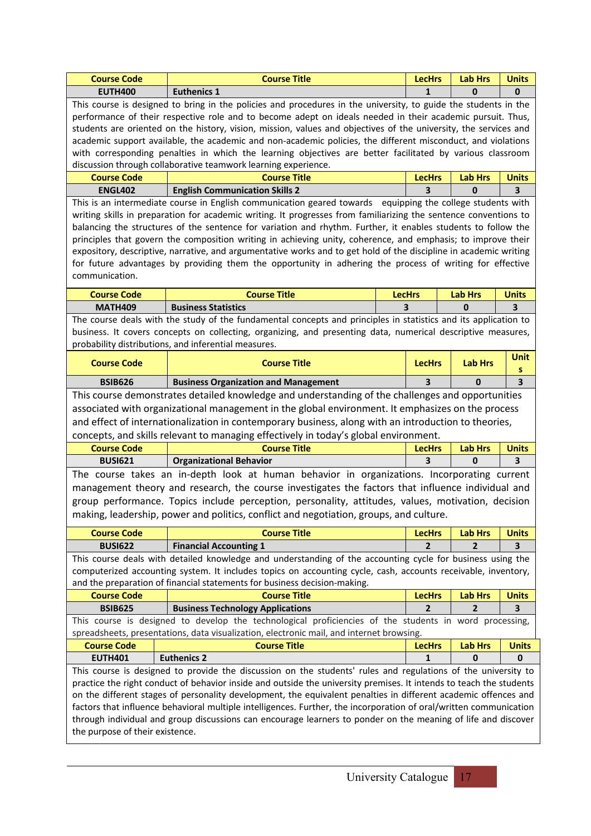| <b>Course Code</b>                                                                                         | <b>Course Title</b>                                                                                                 |               | <b>LecHrs</b>  | <b>Lab Hrs</b> | <b>Units</b>            |
|------------------------------------------------------------------------------------------------------------|---------------------------------------------------------------------------------------------------------------------|---------------|----------------|----------------|-------------------------|
| <b>EUTH400</b>                                                                                             | <b>Euthenics 1</b>                                                                                                  |               | 1              | 0              | 0                       |
|                                                                                                            | This course is designed to bring in the policies and procedures in the university, to guide the students in the     |               |                |                |                         |
| performance of their respective role and to become adept on ideals needed in their academic pursuit. Thus, |                                                                                                                     |               |                |                |                         |
|                                                                                                            | students are oriented on the history, vision, mission, values and objectives of the university, the services and    |               |                |                |                         |
|                                                                                                            | academic support available, the academic and non-academic policies, the different misconduct, and violations        |               |                |                |                         |
|                                                                                                            | with corresponding penalties in which the learning objectives are better facilitated by various classroom           |               |                |                |                         |
|                                                                                                            | discussion through collaborative teamwork learning experience.                                                      |               |                |                |                         |
| <b>Course Code</b>                                                                                         | <b>Course Title</b>                                                                                                 |               | <b>LecHrs</b>  | <b>Lab Hrs</b> | <b>Units</b>            |
| <b>ENGL402</b>                                                                                             | <b>English Communication Skills 2</b>                                                                               |               | 3              | $\mathbf 0$    | 3                       |
|                                                                                                            | This is an intermediate course in English communication geared towards equipping the college students with          |               |                |                |                         |
|                                                                                                            | writing skills in preparation for academic writing. It progresses from familiarizing the sentence conventions to    |               |                |                |                         |
|                                                                                                            | balancing the structures of the sentence for variation and rhythm. Further, it enables students to follow the       |               |                |                |                         |
|                                                                                                            | principles that govern the composition writing in achieving unity, coherence, and emphasis; to improve their        |               |                |                |                         |
|                                                                                                            | expository, descriptive, narrative, and argumentative works and to get hold of the discipline in academic writing   |               |                |                |                         |
|                                                                                                            | for future advantages by providing them the opportunity in adhering the process of writing for effective            |               |                |                |                         |
| communication.                                                                                             |                                                                                                                     |               |                |                |                         |
| <b>Course Code</b>                                                                                         | <b>Course Title</b>                                                                                                 | <b>LecHrs</b> |                | <b>Lab Hrs</b> | <b>Units</b>            |
| <b>MATH409</b>                                                                                             | <b>Business Statistics</b>                                                                                          | 3             |                | 0              | 3                       |
|                                                                                                            | The course deals with the study of the fundamental concepts and principles in statistics and its application to     |               |                |                |                         |
|                                                                                                            | business. It covers concepts on collecting, organizing, and presenting data, numerical descriptive measures,        |               |                |                |                         |
|                                                                                                            | probability distributions, and inferential measures.                                                                |               |                |                |                         |
|                                                                                                            |                                                                                                                     |               |                |                | Unit                    |
| <b>Course Code</b>                                                                                         | <b>Course Title</b>                                                                                                 |               | <b>LecHrs</b>  | <b>Lab Hrs</b> | s                       |
| <b>BSIB626</b>                                                                                             | <b>Business Organization and Management</b>                                                                         |               | 3              | $\bf{0}$       | $\overline{\mathbf{3}}$ |
|                                                                                                            | This course demonstrates detailed knowledge and understanding of the challenges and opportunities                   |               |                |                |                         |
|                                                                                                            | associated with organizational management in the global environment. It emphasizes on the process                   |               |                |                |                         |
|                                                                                                            | and effect of internationalization in contemporary business, along with an introduction to theories,                |               |                |                |                         |
|                                                                                                            | concepts, and skills relevant to managing effectively in today's global environment.                                |               |                |                |                         |
| <b>Course Code</b>                                                                                         | <b>Course Title</b>                                                                                                 |               | <b>LecHrs</b>  | <b>Lab Hrs</b> | <b>Units</b>            |
| <b>BUSI621</b>                                                                                             | <b>Organizational Behavior</b>                                                                                      |               | 3              | 0              | 3                       |
|                                                                                                            | The course takes an in-depth look at human behavior in organizations. Incorporating current                         |               |                |                |                         |
|                                                                                                            | management theory and research, the course investigates the factors that influence individual and                   |               |                |                |                         |
|                                                                                                            | group performance. Topics include perception, personality, attitudes, values, motivation, decision                  |               |                |                |                         |
|                                                                                                            |                                                                                                                     |               |                |                |                         |
|                                                                                                            | making, leadership, power and politics, conflict and negotiation, groups, and culture.                              |               |                |                |                         |
| <b>Course Code</b>                                                                                         | <b>Course Title</b>                                                                                                 |               | <b>LecHrs</b>  | <b>Lab Hrs</b> | <b>Units</b>            |
| <b>BUSI622</b>                                                                                             | <b>Financial Accounting 1</b>                                                                                       |               | $\overline{2}$ | $\overline{2}$ | $\overline{\mathbf{3}}$ |
|                                                                                                            | This course deals with detailed knowledge and understanding of the accounting cycle for business using the          |               |                |                |                         |
|                                                                                                            | computerized accounting system. It includes topics on accounting cycle, cash, accounts receivable, inventory,       |               |                |                |                         |
|                                                                                                            | and the preparation of financial statements for business decision-making.                                           |               |                |                |                         |
| <b>Course Code</b>                                                                                         | <b>Course Title</b>                                                                                                 |               | <b>LecHrs</b>  | <b>Lab Hrs</b> | <b>Units</b>            |
| <b>BSIB625</b>                                                                                             | <b>Business Technology Applications</b>                                                                             |               | 2              | 2              | 3                       |
|                                                                                                            | This course is designed to develop the technological proficiencies of the students in word processing,              |               |                |                |                         |
|                                                                                                            | spreadsheets, presentations, data visualization, electronic mail, and internet browsing.                            |               |                |                |                         |
| <b>Course Code</b>                                                                                         | <b>Course Title</b>                                                                                                 |               | <b>LecHrs</b>  | <b>Lab Hrs</b> | <b>Units</b>            |
| <b>EUTH401</b>                                                                                             | <b>Euthenics 2</b>                                                                                                  |               | 1              | 0              | 0                       |
|                                                                                                            | This course is designed to provide the discussion on the students' rules and regulations of the university to       |               |                |                |                         |
|                                                                                                            | practice the right conduct of behavior inside and outside the university premises. It intends to teach the students |               |                |                |                         |
|                                                                                                            | on the different stages of personality development, the equivalent penalties in different academic offences and     |               |                |                |                         |
|                                                                                                            | factors that influence behavioral multiple intelligences. Further, the incorporation of oral/written communication  |               |                |                |                         |
|                                                                                                            | through individual and group discussions can encourage learners to ponder on the meaning of life and discover       |               |                |                |                         |
| the purpose of their existence.                                                                            |                                                                                                                     |               |                |                |                         |
|                                                                                                            |                                                                                                                     |               |                |                |                         |

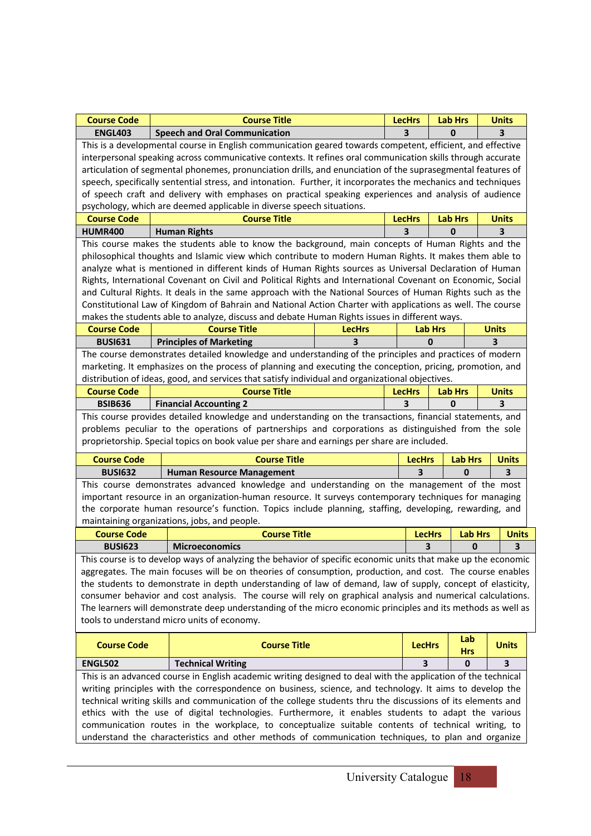| <b>Course Code</b>                                                                                                                                                                                                                                                                                                                                                                                                                                        | <b>Course Title</b>                                                                                                                                                                                               |               | <b>LecHrs</b> |                                 | <b>Lab Hrs</b>  | <b>Units</b> |
|-----------------------------------------------------------------------------------------------------------------------------------------------------------------------------------------------------------------------------------------------------------------------------------------------------------------------------------------------------------------------------------------------------------------------------------------------------------|-------------------------------------------------------------------------------------------------------------------------------------------------------------------------------------------------------------------|---------------|---------------|---------------------------------|-----------------|--------------|
| <b>ENGL403</b>                                                                                                                                                                                                                                                                                                                                                                                                                                            | <b>Speech and Oral Communication</b>                                                                                                                                                                              |               | з             |                                 | 0               | 3            |
| This is a developmental course in English communication geared towards competent, efficient, and effective<br>interpersonal speaking across communicative contexts. It refines oral communication skills through accurate<br>articulation of segmental phonemes, pronunciation drills, and enunciation of the suprasegmental features of<br>speech, specifically sentential stress, and intonation. Further, it incorporates the mechanics and techniques |                                                                                                                                                                                                                   |               |               |                                 |                 |              |
|                                                                                                                                                                                                                                                                                                                                                                                                                                                           | of speech craft and delivery with emphases on practical speaking experiences and analysis of audience                                                                                                             |               |               |                                 |                 |              |
|                                                                                                                                                                                                                                                                                                                                                                                                                                                           | psychology, which are deemed applicable in diverse speech situations.                                                                                                                                             |               |               |                                 |                 |              |
| <b>Course Code</b>                                                                                                                                                                                                                                                                                                                                                                                                                                        | <b>Course Title</b>                                                                                                                                                                                               |               | <b>LecHrs</b> |                                 | <b>Lab Hrs</b>  | <b>Units</b> |
| <b>HUMR400</b>                                                                                                                                                                                                                                                                                                                                                                                                                                            | <b>Human Rights</b>                                                                                                                                                                                               |               | ર             |                                 | $\bf{0}$        | 3            |
|                                                                                                                                                                                                                                                                                                                                                                                                                                                           | This course makes the students able to know the background, main concepts of Human Rights and the                                                                                                                 |               |               |                                 |                 |              |
|                                                                                                                                                                                                                                                                                                                                                                                                                                                           | philosophical thoughts and Islamic view which contribute to modern Human Rights. It makes them able to                                                                                                            |               |               |                                 |                 |              |
|                                                                                                                                                                                                                                                                                                                                                                                                                                                           | analyze what is mentioned in different kinds of Human Rights sources as Universal Declaration of Human                                                                                                            |               |               |                                 |                 |              |
|                                                                                                                                                                                                                                                                                                                                                                                                                                                           | Rights, International Covenant on Civil and Political Rights and International Covenant on Economic, Social                                                                                                       |               |               |                                 |                 |              |
|                                                                                                                                                                                                                                                                                                                                                                                                                                                           | and Cultural Rights. It deals in the same approach with the National Sources of Human Rights such as the                                                                                                          |               |               |                                 |                 |              |
|                                                                                                                                                                                                                                                                                                                                                                                                                                                           | Constitutional Law of Kingdom of Bahrain and National Action Charter with applications as well. The course                                                                                                        |               |               |                                 |                 |              |
|                                                                                                                                                                                                                                                                                                                                                                                                                                                           | makes the students able to analyze, discuss and debate Human Rights issues in different ways.<br><b>Course Title</b>                                                                                              |               |               |                                 |                 |              |
| <b>Course Code</b>                                                                                                                                                                                                                                                                                                                                                                                                                                        |                                                                                                                                                                                                                   | <b>LecHrs</b> |               | <b>Lab Hrs</b>                  |                 | <b>Units</b> |
| <b>BUSI631</b>                                                                                                                                                                                                                                                                                                                                                                                                                                            | <b>Principles of Marketing</b>                                                                                                                                                                                    | 3             |               | 0                               |                 | 3            |
|                                                                                                                                                                                                                                                                                                                                                                                                                                                           | The course demonstrates detailed knowledge and understanding of the principles and practices of modern                                                                                                            |               |               |                                 |                 |              |
|                                                                                                                                                                                                                                                                                                                                                                                                                                                           | marketing. It emphasizes on the process of planning and executing the conception, pricing, promotion, and<br>distribution of ideas, good, and services that satisfy individual and organizational objectives.     |               |               |                                 |                 |              |
| <b>Course Code</b>                                                                                                                                                                                                                                                                                                                                                                                                                                        | <b>Course Title</b>                                                                                                                                                                                               |               | <b>LecHrs</b> |                                 | <b>Lab Hrs</b>  | <b>Units</b> |
| <b>BSIB636</b>                                                                                                                                                                                                                                                                                                                                                                                                                                            | <b>Financial Accounting 2</b>                                                                                                                                                                                     |               | 3             |                                 | $\bf{0}$        | 3            |
|                                                                                                                                                                                                                                                                                                                                                                                                                                                           | This course provides detailed knowledge and understanding on the transactions, financial statements, and                                                                                                          |               |               |                                 |                 |              |
|                                                                                                                                                                                                                                                                                                                                                                                                                                                           | problems peculiar to the operations of partnerships and corporations as distinguished from the sole                                                                                                               |               |               |                                 |                 |              |
|                                                                                                                                                                                                                                                                                                                                                                                                                                                           | proprietorship. Special topics on book value per share and earnings per share are included.                                                                                                                       |               |               |                                 |                 |              |
| <b>Course Code</b>                                                                                                                                                                                                                                                                                                                                                                                                                                        | <b>Course Title</b>                                                                                                                                                                                               |               | <b>LecHrs</b> |                                 | <b>Lab Hrs</b>  | <b>Units</b> |
| <b>BUSI632</b>                                                                                                                                                                                                                                                                                                                                                                                                                                            | <b>Human Resource Management</b>                                                                                                                                                                                  |               | 3             |                                 | 0               | З            |
|                                                                                                                                                                                                                                                                                                                                                                                                                                                           | This course demonstrates advanced knowledge and understanding on the management of the most                                                                                                                       |               |               |                                 |                 |              |
|                                                                                                                                                                                                                                                                                                                                                                                                                                                           | important resource in an organization-human resource. It surveys contemporary techniques for managing                                                                                                             |               |               |                                 |                 |              |
|                                                                                                                                                                                                                                                                                                                                                                                                                                                           | the corporate human resource's function. Topics include planning, staffing, developing, rewarding, and                                                                                                            |               |               |                                 |                 |              |
|                                                                                                                                                                                                                                                                                                                                                                                                                                                           | maintaining organizations, jobs, and people.                                                                                                                                                                      |               |               |                                 |                 |              |
| <b>Course Code</b>                                                                                                                                                                                                                                                                                                                                                                                                                                        | <b>Course Title</b>                                                                                                                                                                                               |               |               | <b>Lab Hrs</b><br><b>LecHrs</b> |                 | <b>Units</b> |
| <b>BUSI623</b>                                                                                                                                                                                                                                                                                                                                                                                                                                            | <b>Microeconomics</b>                                                                                                                                                                                             |               |               | 3                               | 0               | 3            |
|                                                                                                                                                                                                                                                                                                                                                                                                                                                           | This course is to develop ways of analyzing the behavior of specific economic units that make up the economic                                                                                                     |               |               |                                 |                 |              |
|                                                                                                                                                                                                                                                                                                                                                                                                                                                           | aggregates. The main focuses will be on theories of consumption, production, and cost. The course enables                                                                                                         |               |               |                                 |                 |              |
|                                                                                                                                                                                                                                                                                                                                                                                                                                                           | the students to demonstrate in depth understanding of law of demand, law of supply, concept of elasticity,                                                                                                        |               |               |                                 |                 |              |
|                                                                                                                                                                                                                                                                                                                                                                                                                                                           | consumer behavior and cost analysis. The course will rely on graphical analysis and numerical calculations.                                                                                                       |               |               |                                 |                 |              |
|                                                                                                                                                                                                                                                                                                                                                                                                                                                           | The learners will demonstrate deep understanding of the micro economic principles and its methods as well as                                                                                                      |               |               |                                 |                 |              |
|                                                                                                                                                                                                                                                                                                                                                                                                                                                           | tools to understand micro units of economy.                                                                                                                                                                       |               |               |                                 |                 |              |
|                                                                                                                                                                                                                                                                                                                                                                                                                                                           |                                                                                                                                                                                                                   |               |               |                                 |                 |              |
| <b>Course Code</b>                                                                                                                                                                                                                                                                                                                                                                                                                                        | <b>Course Title</b>                                                                                                                                                                                               |               | <b>LecHrs</b> |                                 | Lab             | <b>Units</b> |
| <b>ENGL502</b>                                                                                                                                                                                                                                                                                                                                                                                                                                            |                                                                                                                                                                                                                   |               | 3             |                                 | <b>Hrs</b><br>0 | 3            |
|                                                                                                                                                                                                                                                                                                                                                                                                                                                           | <b>Technical Writing</b>                                                                                                                                                                                          |               |               |                                 |                 |              |
|                                                                                                                                                                                                                                                                                                                                                                                                                                                           | This is an advanced course in English academic writing designed to deal with the application of the technical                                                                                                     |               |               |                                 |                 |              |
|                                                                                                                                                                                                                                                                                                                                                                                                                                                           | writing principles with the correspondence on business, science, and technology. It aims to develop the                                                                                                           |               |               |                                 |                 |              |
|                                                                                                                                                                                                                                                                                                                                                                                                                                                           | technical writing skills and communication of the college students thru the discussions of its elements and<br>ethics with the use of digital technologies. Furthermore, it enables students to adapt the various |               |               |                                 |                 |              |
|                                                                                                                                                                                                                                                                                                                                                                                                                                                           | communication routes in the workplace, to conceptualize suitable contents of technical writing, to                                                                                                                |               |               |                                 |                 |              |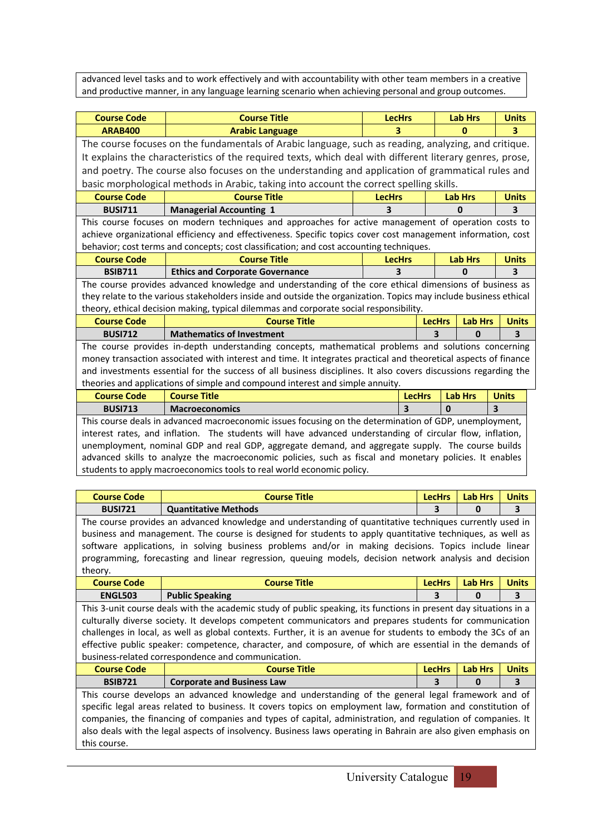advanced level tasks and to work effectively and with accountability with other team members in a creative and productive manner, in any language learning scenario when achieving personal and group outcomes.

| <b>Course Code</b> | <b>Course Title</b>                                                                                                                                                                                                 | <b>LecHrs</b> |               | <b>Lab Hrs</b> | <b>Units</b> |
|--------------------|---------------------------------------------------------------------------------------------------------------------------------------------------------------------------------------------------------------------|---------------|---------------|----------------|--------------|
| <b>ARAB400</b>     | <b>Arabic Language</b>                                                                                                                                                                                              | 3             |               | 0              | 3            |
|                    | The course focuses on the fundamentals of Arabic language, such as reading, analyzing, and critique.                                                                                                                |               |               |                |              |
|                    | It explains the characteristics of the required texts, which deal with different literary genres, prose,                                                                                                            |               |               |                |              |
|                    | and poetry. The course also focuses on the understanding and application of grammatical rules and                                                                                                                   |               |               |                |              |
|                    | basic morphological methods in Arabic, taking into account the correct spelling skills.                                                                                                                             |               |               |                |              |
| <b>Course Code</b> | <b>Course Title</b>                                                                                                                                                                                                 | <b>LecHrs</b> |               | <b>Lab Hrs</b> | <b>Units</b> |
| <b>BUSI711</b>     | <b>Managerial Accounting 1</b>                                                                                                                                                                                      |               |               | 0              | 3            |
|                    | This course focuses on modern techniques and approaches for active management of operation costs to                                                                                                                 |               |               |                |              |
|                    | achieve organizational efficiency and effectiveness. Specific topics cover cost management information, cost                                                                                                        |               |               |                |              |
|                    | behavior; cost terms and concepts; cost classification; and cost accounting techniques.                                                                                                                             |               |               |                |              |
| <b>Course Code</b> | <b>Course Title</b>                                                                                                                                                                                                 | <b>LecHrs</b> |               | <b>Lab Hrs</b> | <b>Units</b> |
| <b>BSIB711</b>     | <b>Ethics and Corporate Governance</b>                                                                                                                                                                              | 3             |               | $\mathbf{0}$   | 3            |
|                    | The course provides advanced knowledge and understanding of the core ethical dimensions of business as                                                                                                              |               |               |                |              |
|                    | they relate to the various stakeholders inside and outside the organization. Topics may include business ethical                                                                                                    |               |               |                |              |
|                    | theory, ethical decision making, typical dilemmas and corporate social responsibility.                                                                                                                              |               |               |                |              |
| <b>Course Code</b> | <b>Course Title</b>                                                                                                                                                                                                 |               | <b>LecHrs</b> | <b>Lab Hrs</b> | <b>Units</b> |
| <b>BUSI712</b>     | <b>Mathematics of Investment</b>                                                                                                                                                                                    |               | 3             | $\bf{0}$       | 3            |
|                    | The course provides in-depth understanding concepts, mathematical problems and solutions concerning                                                                                                                 |               |               |                |              |
|                    | money transaction associated with interest and time. It integrates practical and theoretical aspects of finance                                                                                                     |               |               |                |              |
|                    | and investments essential for the success of all business disciplines. It also covers discussions regarding the                                                                                                     |               |               |                |              |
|                    | theories and applications of simple and compound interest and simple annuity.                                                                                                                                       |               |               |                |              |
| <b>Course Code</b> | <b>Course Title</b>                                                                                                                                                                                                 |               | <b>LecHrs</b> | <b>Lab Hrs</b> | <b>Units</b> |
| <b>BUSI713</b>     | <b>Macroeconomics</b>                                                                                                                                                                                               | 3             | $\bf{0}$      | 3              |              |
|                    | This course deals in advanced macroeconomic issues focusing on the determination of GDP, unemployment,<br>interest rates, and inflation. The students will have advanced understanding of circular flow, inflation, |               |               |                |              |
|                    | unemployment, nominal GDP and real GDP, aggregate demand, and aggregate supply. The course builds                                                                                                                   |               |               |                |              |
|                    | advanced skills to analyze the macroeconomic policies, such as fiscal and monetary policies. It enables                                                                                                             |               |               |                |              |
|                    | students to apply macroeconomics tools to real world economic policy.                                                                                                                                               |               |               |                |              |
|                    |                                                                                                                                                                                                                     |               |               |                |              |
| <b>Course Code</b> | <b>Course Title</b>                                                                                                                                                                                                 |               | <b>LecHrs</b> | <b>Lab Hrs</b> | <b>Units</b> |
|                    |                                                                                                                                                                                                                     |               |               |                |              |

**BUSI721 Quantitative Methods 3 0 3** The course provides an advanced knowledge and understanding of quantitative techniques currently used in business and management. The course is designed for students to apply quantitative techniques, as well as software applications, in solving business problems and/or in making decisions. Topics include linear programming, forecasting and linear regression, queuing models, decision network analysis and decision theory.

| <b>Course Code</b>                                                                                                | <b>Course Title</b>                                                                                     | <b>LecHrs</b> | <b>Lab Hrs</b> | <b>Units</b> |  |  |
|-------------------------------------------------------------------------------------------------------------------|---------------------------------------------------------------------------------------------------------|---------------|----------------|--------------|--|--|
| <b>ENGL503</b>                                                                                                    | <b>Public Speaking</b>                                                                                  |               | 0              |              |  |  |
| This 3-unit course deals with the academic study of public speaking, its functions in present day situations in a |                                                                                                         |               |                |              |  |  |
|                                                                                                                   | culturally diverse society. It develops competent communicators and prepares students for communication |               |                |              |  |  |
| challenges in local, as well as global contexts. Further, it is an avenue for students to embody the 3Cs of an    |                                                                                                         |               |                |              |  |  |
| effective public speaker: competence, character, and composure, of which are essential in the demands of          |                                                                                                         |               |                |              |  |  |
| business-related correspondence and communication.                                                                |                                                                                                         |               |                |              |  |  |
|                                                                                                                   |                                                                                                         |               |                |              |  |  |

| <b>Course Code</b>                                                                                             | <b>Course Title</b>               | <b>LecHrs</b> | <b>Lab Hrs</b> | <b>Units</b> |  |  |
|----------------------------------------------------------------------------------------------------------------|-----------------------------------|---------------|----------------|--------------|--|--|
| <b>BSIB721</b>                                                                                                 | <b>Corporate and Business Law</b> |               |                | 3            |  |  |
| This course develops an advanced knowledge and understanding of the general legal framework and of             |                                   |               |                |              |  |  |
| specific legal areas related to business. It covers topics on employment law, formation and constitution of    |                                   |               |                |              |  |  |
| companies, the financing of companies and types of capital, administration, and regulation of companies. It    |                                   |               |                |              |  |  |
| also deals with the legal aspects of insolvency. Business laws operating in Bahrain are also given emphasis on |                                   |               |                |              |  |  |
| this course.                                                                                                   |                                   |               |                |              |  |  |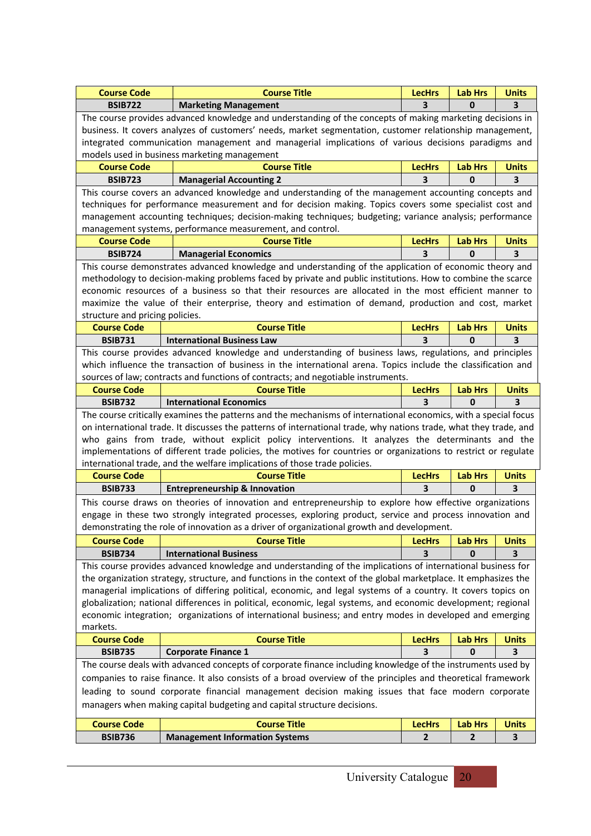| <b>Course Code</b>                                                                                       | <b>Course Title</b>                                                                                                                                                                           | <b>LecHrs</b>                                                                                                     | <b>Lab Hrs</b>      | <b>Units</b>            |  |  |  |
|----------------------------------------------------------------------------------------------------------|-----------------------------------------------------------------------------------------------------------------------------------------------------------------------------------------------|-------------------------------------------------------------------------------------------------------------------|---------------------|-------------------------|--|--|--|
| <b>BSIB722</b>                                                                                           | <b>Marketing Management</b>                                                                                                                                                                   | 3                                                                                                                 | 0                   | З                       |  |  |  |
|                                                                                                          | The course provides advanced knowledge and understanding of the concepts of making marketing decisions in                                                                                     |                                                                                                                   |                     |                         |  |  |  |
| business. It covers analyzes of customers' needs, market segmentation, customer relationship management, |                                                                                                                                                                                               |                                                                                                                   |                     |                         |  |  |  |
| integrated communication management and managerial implications of various decisions paradigms and       |                                                                                                                                                                                               |                                                                                                                   |                     |                         |  |  |  |
|                                                                                                          | models used in business marketing management                                                                                                                                                  |                                                                                                                   |                     |                         |  |  |  |
| <b>Course Code</b>                                                                                       | <b>Course Title</b><br><b>LecHrs</b><br><b>Lab Hrs</b><br><b>Units</b>                                                                                                                        |                                                                                                                   |                     |                         |  |  |  |
| <b>BSIB723</b>                                                                                           | <b>Managerial Accounting 2</b>                                                                                                                                                                | 3                                                                                                                 | $\mathbf{0}$        | $\overline{\mathbf{3}}$ |  |  |  |
|                                                                                                          | This course covers an advanced knowledge and understanding of the management accounting concepts and                                                                                          |                                                                                                                   |                     |                         |  |  |  |
|                                                                                                          | techniques for performance measurement and for decision making. Topics covers some specialist cost and                                                                                        |                                                                                                                   |                     |                         |  |  |  |
|                                                                                                          | management accounting techniques; decision-making techniques; budgeting; variance analysis; performance                                                                                       |                                                                                                                   |                     |                         |  |  |  |
|                                                                                                          | management systems, performance measurement, and control.                                                                                                                                     |                                                                                                                   |                     |                         |  |  |  |
| <b>Course Code</b>                                                                                       | <b>Course Title</b>                                                                                                                                                                           | <b>LecHrs</b>                                                                                                     | <b>Lab Hrs</b>      | <b>Units</b>            |  |  |  |
| <b>BSIB724</b>                                                                                           | <b>Managerial Economics</b>                                                                                                                                                                   | 3                                                                                                                 | 0                   | 3                       |  |  |  |
|                                                                                                          | This course demonstrates advanced knowledge and understanding of the application of economic theory and                                                                                       |                                                                                                                   |                     |                         |  |  |  |
|                                                                                                          | methodology to decision-making problems faced by private and public institutions. How to combine the scarce                                                                                   |                                                                                                                   |                     |                         |  |  |  |
|                                                                                                          | economic resources of a business so that their resources are allocated in the most efficient manner to                                                                                        |                                                                                                                   |                     |                         |  |  |  |
|                                                                                                          | maximize the value of their enterprise, theory and estimation of demand, production and cost, market                                                                                          |                                                                                                                   |                     |                         |  |  |  |
| structure and pricing policies.                                                                          |                                                                                                                                                                                               |                                                                                                                   |                     |                         |  |  |  |
| <b>Course Code</b>                                                                                       | <b>Course Title</b>                                                                                                                                                                           | <b>LecHrs</b>                                                                                                     | <b>Lab Hrs</b>      | <b>Units</b>            |  |  |  |
| <b>BSIB731</b>                                                                                           | <b>International Business Law</b>                                                                                                                                                             | 3                                                                                                                 | $\Omega$            | $\overline{\mathbf{3}}$ |  |  |  |
|                                                                                                          | This course provides advanced knowledge and understanding of business laws, regulations, and principles                                                                                       |                                                                                                                   |                     |                         |  |  |  |
|                                                                                                          | which influence the transaction of business in the international arena. Topics include the classification and                                                                                 |                                                                                                                   |                     |                         |  |  |  |
|                                                                                                          | sources of law; contracts and functions of contracts; and negotiable instruments.                                                                                                             |                                                                                                                   |                     |                         |  |  |  |
| <b>Course Code</b>                                                                                       | <b>Course Title</b>                                                                                                                                                                           | <b>LecHrs</b>                                                                                                     | <b>Lab Hrs</b>      | <b>Units</b>            |  |  |  |
| <b>BSIB732</b>                                                                                           | <b>International Economics</b>                                                                                                                                                                | 3                                                                                                                 | $\mathbf{0}$        | 3                       |  |  |  |
|                                                                                                          | The course critically examines the patterns and the mechanisms of international economics, with a special focus                                                                               |                                                                                                                   |                     |                         |  |  |  |
|                                                                                                          |                                                                                                                                                                                               | on international trade. It discusses the patterns of international trade, why nations trade, what they trade, and |                     |                         |  |  |  |
| who gains from trade, without explicit policy interventions. It analyzes the determinants and the        |                                                                                                                                                                                               |                                                                                                                   |                     |                         |  |  |  |
|                                                                                                          |                                                                                                                                                                                               |                                                                                                                   |                     |                         |  |  |  |
|                                                                                                          |                                                                                                                                                                                               |                                                                                                                   |                     |                         |  |  |  |
|                                                                                                          | implementations of different trade policies, the motives for countries or organizations to restrict or regulate<br>international trade, and the welfare implications of those trade policies. |                                                                                                                   |                     |                         |  |  |  |
| <b>Course Code</b>                                                                                       | <b>Course Title</b>                                                                                                                                                                           | <b>LecHrs</b>                                                                                                     | <b>Lab Hrs</b>      | <b>Units</b>            |  |  |  |
| <b>BSIB733</b>                                                                                           | <b>Entrepreneurship &amp; Innovation</b>                                                                                                                                                      | 3                                                                                                                 | $\mathbf{0}$        | 3                       |  |  |  |
|                                                                                                          |                                                                                                                                                                                               |                                                                                                                   |                     |                         |  |  |  |
|                                                                                                          | This course draws on theories of innovation and entrepreneurship to explore how effective organizations                                                                                       |                                                                                                                   |                     |                         |  |  |  |
|                                                                                                          | engage in these two strongly integrated processes, exploring product, service and process innovation and                                                                                      |                                                                                                                   |                     |                         |  |  |  |
|                                                                                                          | demonstrating the role of innovation as a driver of organizational growth and development.                                                                                                    |                                                                                                                   |                     |                         |  |  |  |
| <b>Course Code</b>                                                                                       | <b>Course Title</b>                                                                                                                                                                           | <b>LecHrs</b><br>3                                                                                                | <b>Lab Hrs</b><br>0 | <b>Units</b><br>3       |  |  |  |
| <b>BSIB734</b>                                                                                           | <b>International Business</b>                                                                                                                                                                 |                                                                                                                   |                     |                         |  |  |  |
|                                                                                                          | This course provides advanced knowledge and understanding of the implications of international business for                                                                                   |                                                                                                                   |                     |                         |  |  |  |
|                                                                                                          | the organization strategy, structure, and functions in the context of the global marketplace. It emphasizes the                                                                               |                                                                                                                   |                     |                         |  |  |  |
|                                                                                                          | managerial implications of differing political, economic, and legal systems of a country. It covers topics on                                                                                 |                                                                                                                   |                     |                         |  |  |  |
|                                                                                                          | globalization; national differences in political, economic, legal systems, and economic development; regional                                                                                 |                                                                                                                   |                     |                         |  |  |  |
|                                                                                                          | economic integration; organizations of international business; and entry modes in developed and emerging                                                                                      |                                                                                                                   |                     |                         |  |  |  |
| markets.                                                                                                 |                                                                                                                                                                                               | <b>LecHrs</b>                                                                                                     |                     | <b>Units</b>            |  |  |  |
| <b>Course Code</b><br><b>BSIB735</b>                                                                     | <b>Course Title</b>                                                                                                                                                                           | 3                                                                                                                 | <b>Lab Hrs</b><br>0 | 3                       |  |  |  |
|                                                                                                          | <b>Corporate Finance 1</b>                                                                                                                                                                    |                                                                                                                   |                     |                         |  |  |  |
|                                                                                                          | The course deals with advanced concepts of corporate finance including knowledge of the instruments used by                                                                                   |                                                                                                                   |                     |                         |  |  |  |
|                                                                                                          | companies to raise finance. It also consists of a broad overview of the principles and theoretical framework                                                                                  |                                                                                                                   |                     |                         |  |  |  |
|                                                                                                          | leading to sound corporate financial management decision making issues that face modern corporate                                                                                             |                                                                                                                   |                     |                         |  |  |  |
|                                                                                                          | managers when making capital budgeting and capital structure decisions.                                                                                                                       |                                                                                                                   |                     |                         |  |  |  |
| <b>Course Code</b><br><b>BSIB736</b>                                                                     | <b>Course Title</b><br><b>Management Information Systems</b>                                                                                                                                  | <b>LecHrs</b>                                                                                                     | <b>Lab Hrs</b>      | <b>Units</b>            |  |  |  |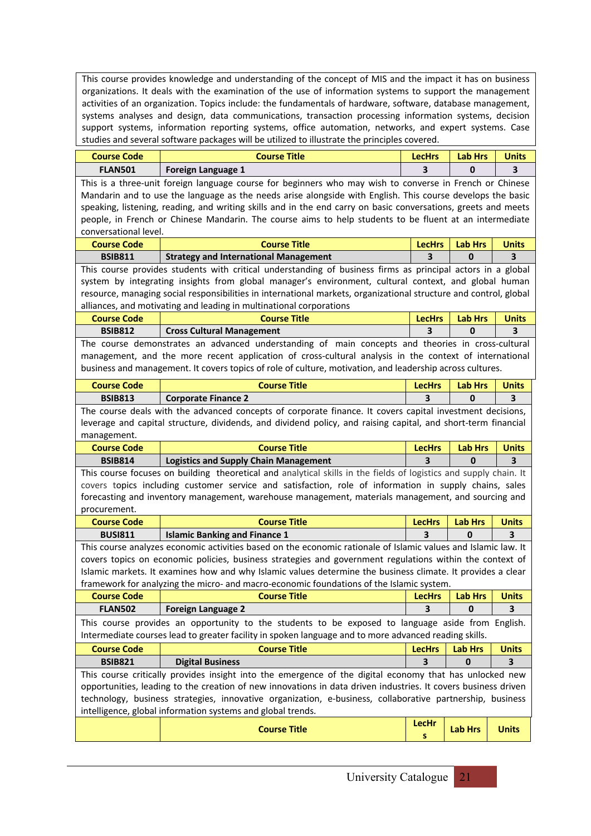This course provides knowledge and understanding of the concept of MIS and the impact it has on business organizations. It deals with the examination of the use of information systems to support the management activities of an organization. Topics include: the fundamentals of hardware, software, database management, systems analyses and design, data communications, transaction processing information systems, decision support systems, information reporting systems, office automation, networks, and expert systems. Case studies and several software packages will be utilized to illustrate the principles covered.

| <b>Course Code</b>                                                                                         | <b>Course Title</b>                                                                                                                                                                                         | <b>LecHrs</b>                   | <b>Lab Hrs</b>                   | <b>Units</b>            |  |  |  |
|------------------------------------------------------------------------------------------------------------|-------------------------------------------------------------------------------------------------------------------------------------------------------------------------------------------------------------|---------------------------------|----------------------------------|-------------------------|--|--|--|
| <b>FLAN501</b>                                                                                             | Foreign Language 1                                                                                                                                                                                          | 3                               | 0                                | 3                       |  |  |  |
| This is a three-unit foreign language course for beginners who may wish to converse in French or Chinese   |                                                                                                                                                                                                             |                                 |                                  |                         |  |  |  |
| Mandarin and to use the language as the needs arise alongside with English. This course develops the basic |                                                                                                                                                                                                             |                                 |                                  |                         |  |  |  |
|                                                                                                            | speaking, listening, reading, and writing skills and in the end carry on basic conversations, greets and meets                                                                                              |                                 |                                  |                         |  |  |  |
|                                                                                                            | people, in French or Chinese Mandarin. The course aims to help students to be fluent at an intermediate                                                                                                     |                                 |                                  |                         |  |  |  |
| conversational level.                                                                                      |                                                                                                                                                                                                             |                                 |                                  | <b>Units</b>            |  |  |  |
| <b>Course Code</b>                                                                                         | <b>Course Title</b>                                                                                                                                                                                         | <b>Lab Hrs</b><br><b>LecHrs</b> |                                  |                         |  |  |  |
| <b>BSIB811</b>                                                                                             | <b>Strategy and International Management</b>                                                                                                                                                                | 3                               | 0                                | 3                       |  |  |  |
|                                                                                                            | This course provides students with critical understanding of business firms as principal actors in a global                                                                                                 |                                 |                                  |                         |  |  |  |
|                                                                                                            | system by integrating insights from global manager's environment, cultural context, and global human                                                                                                        |                                 |                                  |                         |  |  |  |
|                                                                                                            | resource, managing social responsibilities in international markets, organizational structure and control, global                                                                                           |                                 |                                  |                         |  |  |  |
|                                                                                                            | alliances, and motivating and leading in multinational corporations                                                                                                                                         |                                 |                                  |                         |  |  |  |
| <b>Course Code</b><br><b>BSIB812</b>                                                                       | <b>Course Title</b>                                                                                                                                                                                         | <b>LecHrs</b><br>3              | <b>Lab Hrs</b><br>0              | <b>Units</b>            |  |  |  |
|                                                                                                            | <b>Cross Cultural Management</b>                                                                                                                                                                            |                                 |                                  | 3                       |  |  |  |
|                                                                                                            | The course demonstrates an advanced understanding of main concepts and theories in cross-cultural<br>management, and the more recent application of cross-cultural analysis in the context of international |                                 |                                  |                         |  |  |  |
|                                                                                                            | business and management. It covers topics of role of culture, motivation, and leadership across cultures.                                                                                                   |                                 |                                  |                         |  |  |  |
|                                                                                                            |                                                                                                                                                                                                             |                                 |                                  |                         |  |  |  |
| <b>Course Code</b>                                                                                         | <b>Course Title</b>                                                                                                                                                                                         | <b>LecHrs</b>                   | <b>Lab Hrs</b>                   | <b>Units</b>            |  |  |  |
| <b>BSIB813</b>                                                                                             | <b>Corporate Finance 2</b>                                                                                                                                                                                  | 3                               | 0                                | $\overline{\mathbf{3}}$ |  |  |  |
|                                                                                                            | The course deals with the advanced concepts of corporate finance. It covers capital investment decisions,                                                                                                   |                                 |                                  |                         |  |  |  |
|                                                                                                            | leverage and capital structure, dividends, and dividend policy, and raising capital, and short-term financial                                                                                               |                                 |                                  |                         |  |  |  |
| management.                                                                                                |                                                                                                                                                                                                             |                                 |                                  |                         |  |  |  |
| <b>Course Code</b>                                                                                         | <b>Course Title</b>                                                                                                                                                                                         | <b>LecHrs</b>                   | <b>Lab Hrs</b>                   | <b>Units</b>            |  |  |  |
| <b>BSIB814</b>                                                                                             | <b>Logistics and Supply Chain Management</b>                                                                                                                                                                | 3                               | 0                                | 3                       |  |  |  |
|                                                                                                            | This course focuses on building theoretical and analytical skills in the fields of logistics and supply chain. It                                                                                           |                                 |                                  |                         |  |  |  |
|                                                                                                            | covers topics including customer service and satisfaction, role of information in supply chains, sales                                                                                                      |                                 |                                  |                         |  |  |  |
| procurement.                                                                                               | forecasting and inventory management, warehouse management, materials management, and sourcing and                                                                                                          |                                 |                                  |                         |  |  |  |
| <b>Course Code</b>                                                                                         | <b>Course Title</b>                                                                                                                                                                                         | <b>LecHrs</b>                   | <b>Lab Hrs</b>                   | <b>Units</b>            |  |  |  |
| <b>BUSI811</b>                                                                                             | <b>Islamic Banking and Finance 1</b>                                                                                                                                                                        | 3                               | 0                                | 3                       |  |  |  |
|                                                                                                            | This course analyzes economic activities based on the economic rationale of Islamic values and Islamic law. It                                                                                              |                                 |                                  |                         |  |  |  |
|                                                                                                            | covers topics on economic policies, business strategies and government regulations within the context of                                                                                                    |                                 |                                  |                         |  |  |  |
|                                                                                                            | Islamic markets. It examines how and why Islamic values determine the business climate. It provides a clear                                                                                                 |                                 |                                  |                         |  |  |  |
|                                                                                                            | framework for analyzing the micro- and macro-economic foundations of the Islamic system.                                                                                                                    |                                 |                                  |                         |  |  |  |
| <b>Course Code</b>                                                                                         | <b>Course Title</b>                                                                                                                                                                                         | LecHrs                          | $\overline{\phantom{a}}$ Lab Hrs | Units                   |  |  |  |
| <b>FLAN502</b>                                                                                             | <b>Foreign Language 2</b>                                                                                                                                                                                   | 3                               | 0                                | 3                       |  |  |  |
|                                                                                                            | This course provides an opportunity to the students to be exposed to language aside from English.                                                                                                           |                                 |                                  |                         |  |  |  |
|                                                                                                            | Intermediate courses lead to greater facility in spoken language and to more advanced reading skills.                                                                                                       |                                 |                                  |                         |  |  |  |
| <b>Course Code</b>                                                                                         | <b>Course Title</b>                                                                                                                                                                                         | <b>LecHrs</b>                   | <b>Lab Hrs</b>                   | <b>Units</b>            |  |  |  |
| <b>BSIB821</b>                                                                                             | <b>Digital Business</b>                                                                                                                                                                                     | 3                               | 0                                | 3                       |  |  |  |
|                                                                                                            | This course critically provides insight into the emergence of the digital economy that has unlocked new                                                                                                     |                                 |                                  |                         |  |  |  |
|                                                                                                            | opportunities, leading to the creation of new innovations in data driven industries. It covers business driven                                                                                              |                                 |                                  |                         |  |  |  |
|                                                                                                            | technology, business strategies, innovative organization, e-business, collaborative partnership, business                                                                                                   |                                 |                                  |                         |  |  |  |
|                                                                                                            | intelligence, global information systems and global trends.                                                                                                                                                 |                                 |                                  |                         |  |  |  |
|                                                                                                            |                                                                                                                                                                                                             | <b>LecHr</b>                    |                                  |                         |  |  |  |
|                                                                                                            | <b>Course Title</b>                                                                                                                                                                                         | s                               | <b>Lab Hrs</b>                   | <b>Units</b>            |  |  |  |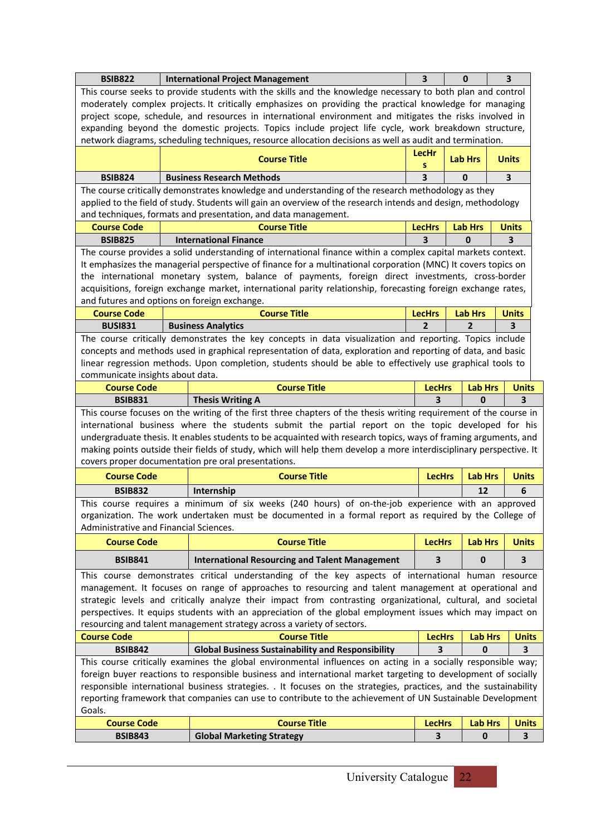| <b>BSIB822</b>                               | <b>International Project Management</b>                                                                                                                                                                                 | $\overline{\mathbf{3}}$ | $\bf{0}$                       | 3                       |
|----------------------------------------------|-------------------------------------------------------------------------------------------------------------------------------------------------------------------------------------------------------------------------|-------------------------|--------------------------------|-------------------------|
|                                              | This course seeks to provide students with the skills and the knowledge necessary to both plan and control                                                                                                              |                         |                                |                         |
|                                              | moderately complex projects. It critically emphasizes on providing the practical knowledge for managing                                                                                                                 |                         |                                |                         |
|                                              | project scope, schedule, and resources in international environment and mitigates the risks involved in                                                                                                                 |                         |                                |                         |
|                                              | expanding beyond the domestic projects. Topics include project life cycle, work breakdown structure,                                                                                                                    |                         |                                |                         |
|                                              | network diagrams, scheduling techniques, resource allocation decisions as well as audit and termination.                                                                                                                |                         |                                |                         |
|                                              | <b>Course Title</b>                                                                                                                                                                                                     | LecHr<br>s              | <b>Lab Hrs</b>                 | <b>Units</b>            |
| <b>BSIB824</b>                               | <b>Business Research Methods</b>                                                                                                                                                                                        | 3                       | $\bf{0}$                       | 3                       |
|                                              | The course critically demonstrates knowledge and understanding of the research methodology as they                                                                                                                      |                         |                                |                         |
|                                              | applied to the field of study. Students will gain an overview of the research intends and design, methodology                                                                                                           |                         |                                |                         |
|                                              | and techniques, formats and presentation, and data management.                                                                                                                                                          |                         |                                |                         |
| <b>Course Code</b>                           | <b>Course Title</b>                                                                                                                                                                                                     | <b>LecHrs</b>           | <b>Lab Hrs</b>                 | <b>Units</b>            |
| <b>BSIB825</b>                               | <b>International Finance</b>                                                                                                                                                                                            | 3                       | $\Omega$                       | $\overline{\mathbf{3}}$ |
|                                              | The course provides a solid understanding of international finance within a complex capital markets context.                                                                                                            |                         |                                |                         |
|                                              | It emphasizes the managerial perspective of finance for a multinational corporation (MNC) It covers topics on                                                                                                           |                         |                                |                         |
|                                              | the international monetary system, balance of payments, foreign direct investments, cross-border                                                                                                                        |                         |                                |                         |
|                                              | acquisitions, foreign exchange market, international parity relationship, forecasting foreign exchange rates,                                                                                                           |                         |                                |                         |
| and futures and options on foreign exchange. |                                                                                                                                                                                                                         |                         |                                |                         |
| <b>Course Code</b>                           | <b>Course Title</b>                                                                                                                                                                                                     | <b>LecHrs</b>           | <b>Lab Hrs</b>                 | <b>Units</b>            |
| <b>BUSI831</b>                               | <b>Business Analytics</b>                                                                                                                                                                                               | $\mathbf{2}$            | $\mathbf{2}$                   | 3                       |
|                                              | The course critically demonstrates the key concepts in data visualization and reporting. Topics include                                                                                                                 |                         |                                |                         |
|                                              | concepts and methods used in graphical representation of data, exploration and reporting of data, and basic                                                                                                             |                         |                                |                         |
|                                              | linear regression methods. Upon completion, students should be able to effectively use graphical tools to                                                                                                               |                         |                                |                         |
| communicate insights about data.             |                                                                                                                                                                                                                         |                         |                                |                         |
| <b>Course Code</b>                           | <b>Course Title</b>                                                                                                                                                                                                     | <b>LecHrs</b><br>3      | <b>Lab Hrs</b><br>$\mathbf{0}$ | <b>Units</b><br>3       |
| <b>BSIB831</b>                               | <b>Thesis Writing A</b>                                                                                                                                                                                                 |                         |                                |                         |
|                                              | This course focuses on the writing of the first three chapters of the thesis writing requirement of the course in<br>international business where the students submit the partial report on the topic developed for his |                         |                                |                         |
|                                              | undergraduate thesis. It enables students to be acquainted with research topics, ways of framing arguments, and                                                                                                         |                         |                                |                         |
|                                              | making points outside their fields of study, which will help them develop a more interdisciplinary perspective. It                                                                                                      |                         |                                |                         |
|                                              | covers proper documentation pre oral presentations.                                                                                                                                                                     |                         |                                |                         |
| <b>Course Code</b>                           | <b>Course Title</b>                                                                                                                                                                                                     | <b>LecHrs</b>           | <b>Lab Hrs</b>                 | <b>Units</b>            |
| <b>BSIB832</b>                               | Internship                                                                                                                                                                                                              |                         | 12                             | 6                       |
|                                              | This course requires a minimum of six weeks (240 hours) of on-the-job experience with an approved                                                                                                                       |                         |                                |                         |
|                                              | organization. The work undertaken must be documented in a formal report as required by the College of                                                                                                                   |                         |                                |                         |
| Administrative and Financial Sciences.       |                                                                                                                                                                                                                         |                         |                                |                         |
| <b>Course Code</b>                           | <b>Course Title</b>                                                                                                                                                                                                     | <b>LecHrs</b>           | <b>Lab Hrs</b>                 | <b>Units</b>            |
|                                              |                                                                                                                                                                                                                         |                         |                                |                         |
| <b>BSIB841</b>                               | <b>International Resourcing and Talent Management</b>                                                                                                                                                                   | 3                       | 0                              | 3                       |
|                                              | This course demonstrates critical understanding of the key aspects of international human resource                                                                                                                      |                         |                                |                         |
|                                              | management. It focuses on range of approaches to resourcing and talent management at operational and                                                                                                                    |                         |                                |                         |
|                                              | strategic levels and critically analyze their impact from contrasting organizational, cultural, and societal                                                                                                            |                         |                                |                         |
|                                              | perspectives. It equips students with an appreciation of the global employment issues which may impact on                                                                                                               |                         |                                |                         |
|                                              | resourcing and talent management strategy across a variety of sectors.<br><b>Course Title</b>                                                                                                                           |                         |                                |                         |
| <b>Course Code</b><br><b>BSIB842</b>         |                                                                                                                                                                                                                         | <b>LecHrs</b><br>3      | <b>Lab Hrs</b><br>0            | <b>Units</b><br>3       |
|                                              | <b>Global Business Sustainability and Responsibility</b><br>This course critically examines the global environmental influences on acting in a socially responsible way;                                                |                         |                                |                         |
|                                              | foreign buyer reactions to responsible business and international market targeting to development of socially                                                                                                           |                         |                                |                         |
|                                              | responsible international business strategies. . It focuses on the strategies, practices, and the sustainability                                                                                                        |                         |                                |                         |
|                                              | reporting framework that companies can use to contribute to the achievement of UN Sustainable Development                                                                                                               |                         |                                |                         |
| Goals.                                       |                                                                                                                                                                                                                         |                         |                                |                         |
| <b>Course Code</b>                           | <b>Course Title</b>                                                                                                                                                                                                     | <b>LecHrs</b>           | <b>Lab Hrs</b>                 | <b>Units</b>            |
| <b>BSIB843</b>                               | <b>Global Marketing Strategy</b>                                                                                                                                                                                        | 3                       | $\mathbf{0}$                   | 3                       |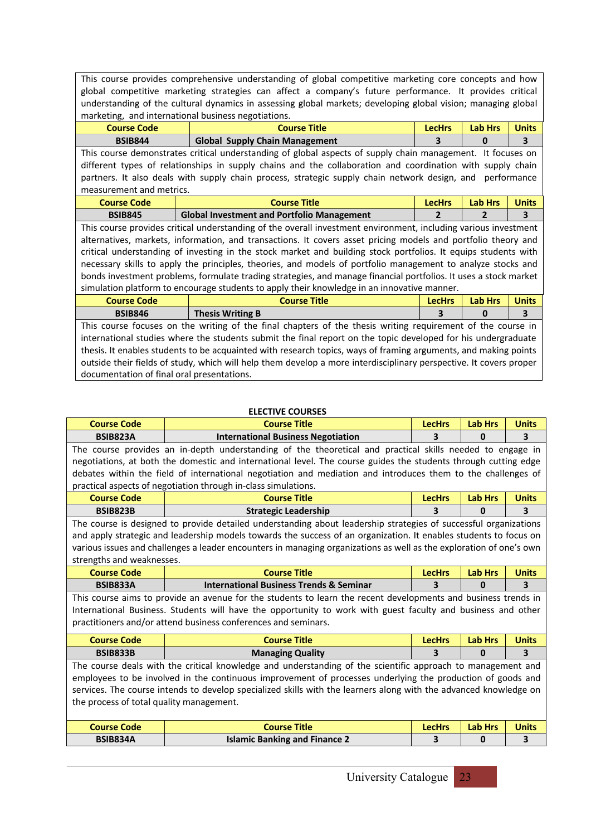This course provides comprehensive understanding of global competitive marketing core concepts and how global competitive marketing strategies can affect a company's future performance. It provides critical understanding of the cultural dynamics in assessing global markets; developing global vision; managing global marketing, and international business negotiations.

| <b>Course Code</b>                         | <b>Course Title</b>                                                                                                | <b>LecHrs</b>  | <b>Lab Hrs</b> | <b>Units</b> |
|--------------------------------------------|--------------------------------------------------------------------------------------------------------------------|----------------|----------------|--------------|
| <b>BSIB844</b>                             | <b>Global Supply Chain Management</b>                                                                              | 3              | $\bf{0}$       | 3            |
|                                            | This course demonstrates critical understanding of global aspects of supply chain management. It focuses on        |                |                |              |
|                                            | different types of relationships in supply chains and the collaboration and coordination with supply chain         |                |                |              |
|                                            | partners. It also deals with supply chain process, strategic supply chain network design, and performance          |                |                |              |
| measurement and metrics.                   |                                                                                                                    |                |                |              |
| <b>Course Code</b>                         | <b>Course Title</b>                                                                                                | <b>LecHrs</b>  | <b>Lab Hrs</b> | <b>Units</b> |
| <b>BSIB845</b>                             | <b>Global Investment and Portfolio Management</b>                                                                  | $\overline{2}$ | 2              | 3            |
|                                            | This course provides critical understanding of the overall investment environment, including various investment    |                |                |              |
|                                            | alternatives, markets, information, and transactions. It covers asset pricing models and portfolio theory and      |                |                |              |
|                                            | critical understanding of investing in the stock market and building stock portfolios. It equips students with     |                |                |              |
|                                            | necessary skills to apply the principles, theories, and models of portfolio management to analyze stocks and       |                |                |              |
|                                            | bonds investment problems, formulate trading strategies, and manage financial portfolios. It uses a stock market   |                |                |              |
|                                            | simulation platform to encourage students to apply their knowledge in an innovative manner.                        |                |                |              |
| <b>Course Code</b>                         | <b>Course Title</b>                                                                                                | <b>LecHrs</b>  | <b>Lab Hrs</b> | <b>Units</b> |
| <b>BSIB846</b>                             | <b>Thesis Writing B</b>                                                                                            | 3              | 0              | 3            |
|                                            | This course focuses on the writing of the final chapters of the thesis writing requirement of the course in        |                |                |              |
|                                            | international studies where the students submit the final report on the topic developed for his undergraduate      |                |                |              |
|                                            | thesis. It enables students to be acquainted with research topics, ways of framing arguments, and making points    |                |                |              |
|                                            | outside their fields of study, which will help them develop a more interdisciplinary perspective. It covers proper |                |                |              |
| documentation of final oral presentations. |                                                                                                                    |                |                |              |

### **ELECTIVE COURSES**

| <b>Course Code</b>                                                                                        | <b>Course Title</b>                                                                                                 | <b>LecHrs</b> | <b>Lab Hrs</b> | <b>Units</b> |  |  |  |
|-----------------------------------------------------------------------------------------------------------|---------------------------------------------------------------------------------------------------------------------|---------------|----------------|--------------|--|--|--|
| <b>BSIB823A</b>                                                                                           | <b>International Business Negotiation</b>                                                                           | 3             | 0              | 3            |  |  |  |
| The course provides an in-depth understanding of the theoretical and practical skills needed to engage in |                                                                                                                     |               |                |              |  |  |  |
|                                                                                                           | negotiations, at both the domestic and international level. The course guides the students through cutting edge     |               |                |              |  |  |  |
|                                                                                                           | debates within the field of international negotiation and mediation and introduces them to the challenges of        |               |                |              |  |  |  |
|                                                                                                           | practical aspects of negotiation through in-class simulations.                                                      |               |                |              |  |  |  |
| <b>Course Code</b>                                                                                        | <b>Course Title</b>                                                                                                 | <b>LecHrs</b> | <b>Lab Hrs</b> | <b>Units</b> |  |  |  |
| <b>BSIB823B</b>                                                                                           | <b>Strategic Leadership</b>                                                                                         | 3             | 0              | 3            |  |  |  |
|                                                                                                           | The course is designed to provide detailed understanding about leadership strategies of successful organizations    |               |                |              |  |  |  |
|                                                                                                           | and apply strategic and leadership models towards the success of an organization. It enables students to focus on   |               |                |              |  |  |  |
|                                                                                                           | various issues and challenges a leader encounters in managing organizations as well as the exploration of one's own |               |                |              |  |  |  |
| strengths and weaknesses.                                                                                 |                                                                                                                     |               |                |              |  |  |  |
| <b>Course Code</b>                                                                                        | <b>Course Title</b>                                                                                                 | <b>LecHrs</b> | <b>Lab Hrs</b> | <b>Units</b> |  |  |  |
|                                                                                                           |                                                                                                                     |               |                |              |  |  |  |
| <b>BSIB833A</b>                                                                                           | <b>International Business Trends &amp; Seminar</b>                                                                  | 3             | $\bf{0}$       | 3            |  |  |  |
|                                                                                                           | This course aims to provide an avenue for the students to learn the recent developments and business trends in      |               |                |              |  |  |  |
|                                                                                                           | International Business. Students will have the opportunity to work with guest faculty and business and other        |               |                |              |  |  |  |
|                                                                                                           | practitioners and/or attend business conferences and seminars.                                                      |               |                |              |  |  |  |
| <b>Course Code</b>                                                                                        | <b>Course Title</b>                                                                                                 | <b>LecHrs</b> | <b>Lab Hrs</b> | <b>Units</b> |  |  |  |
| <b>BSIB833B</b>                                                                                           | <b>Managing Quality</b>                                                                                             | 3             | $\bf{0}$       | 3            |  |  |  |
|                                                                                                           | The course deals with the critical knowledge and understanding of the scientific approach to management and         |               |                |              |  |  |  |
|                                                                                                           | employees to be involved in the continuous improvement of processes underlying the production of goods and          |               |                |              |  |  |  |
|                                                                                                           | services. The course intends to develop specialized skills with the learners along with the advanced knowledge on   |               |                |              |  |  |  |
| the process of total quality management.                                                                  |                                                                                                                     |               |                |              |  |  |  |
|                                                                                                           |                                                                                                                     |               |                |              |  |  |  |
| <b>Course Code</b>                                                                                        | <b>Course Title</b>                                                                                                 | <b>LecHrs</b> | <b>Lab Hrs</b> | <b>Units</b> |  |  |  |